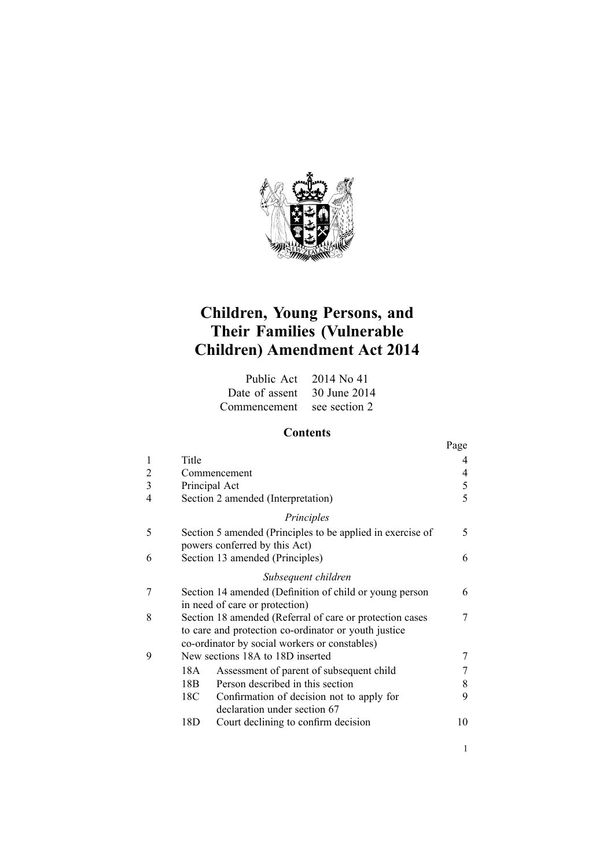

# **Children, Young Persons, and Their Families (Vulnerable Children) Amendment Act 2014**

|                             | Public Act 2014 No 41 |
|-----------------------------|-----------------------|
| Date of assent 30 June 2014 |                       |
| Commencement see section 2  |                       |

# **Contents**

|   |                                                                                                                                                                   | Page |
|---|-------------------------------------------------------------------------------------------------------------------------------------------------------------------|------|
| 1 | Title                                                                                                                                                             |      |
| 2 | Commencement                                                                                                                                                      | 4    |
| 3 | Principal Act                                                                                                                                                     | 5    |
| 4 | Section 2 amended (Interpretation)                                                                                                                                | 5    |
|   | Principles                                                                                                                                                        |      |
| 5 | Section 5 amended (Principles to be applied in exercise of<br>powers conferred by this Act)                                                                       | 5    |
| 6 | Section 13 amended (Principles)                                                                                                                                   | 6    |
|   | Subsequent children                                                                                                                                               |      |
| 7 | Section 14 amended (Definition of child or young person<br>in need of care or protection)                                                                         | 6    |
| 8 | Section 18 amended (Referral of care or protection cases<br>to care and protection co-ordinator or youth justice<br>co-ordinator by social workers or constables) |      |
| 9 | New sections 18A to 18D inserted                                                                                                                                  |      |
|   | Assessment of parent of subsequent child<br>18A                                                                                                                   |      |
|   | Person described in this section<br>18B                                                                                                                           | 8    |
|   | 18C<br>Confirmation of decision not to apply for<br>declaration under section 67                                                                                  | 9    |
|   | 18D<br>Court declining to confirm decision                                                                                                                        | 10   |

1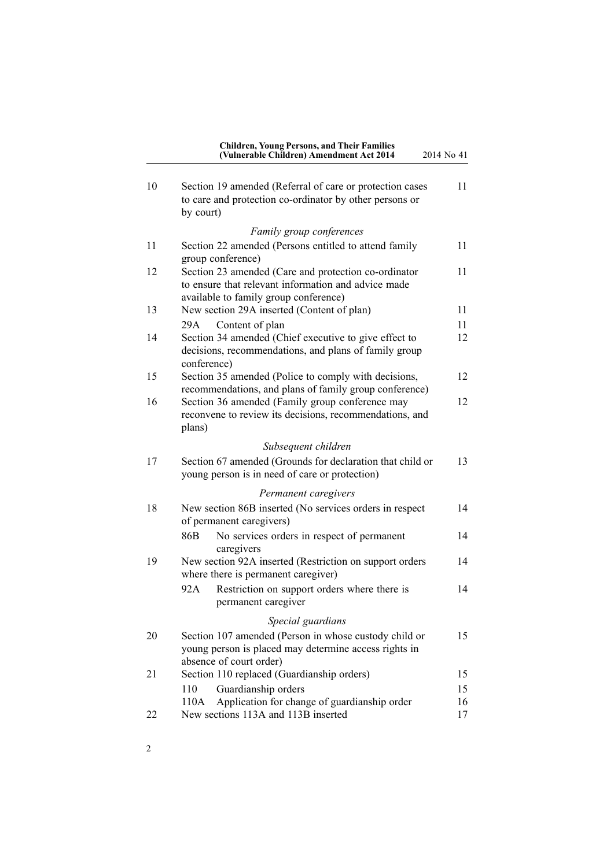| <b>Children, Young Persons, and Their Families</b><br>(Vulnerable Children) Amendment Act 2014 | 2014 No 41 |
|------------------------------------------------------------------------------------------------|------------|
|                                                                                                |            |

| 10 | Section 19 amended (Referral of care or protection cases<br>to care and protection co-ordinator by other persons or                                  | 11       |
|----|------------------------------------------------------------------------------------------------------------------------------------------------------|----------|
|    | by court)                                                                                                                                            |          |
|    | Family group conferences                                                                                                                             |          |
| 11 | Section 22 amended (Persons entitled to attend family<br>group conference)                                                                           | 11       |
| 12 | Section 23 amended (Care and protection co-ordinator<br>to ensure that relevant information and advice made<br>available to family group conference) | 11       |
| 13 | New section 29A inserted (Content of plan)                                                                                                           | 11       |
|    | Content of plan<br>29A                                                                                                                               | 11       |
| 14 | Section 34 amended (Chief executive to give effect to<br>decisions, recommendations, and plans of family group<br>conference)                        | 12       |
| 15 | Section 35 amended (Police to comply with decisions,<br>recommendations, and plans of family group conference)                                       | 12       |
| 16 | Section 36 amended (Family group conference may<br>reconvene to review its decisions, recommendations, and<br>plans)                                 | 12       |
|    | Subsequent children                                                                                                                                  |          |
| 17 | Section 67 amended (Grounds for declaration that child or<br>young person is in need of care or protection)                                          | 13       |
|    | Permanent caregivers                                                                                                                                 |          |
| 18 | New section 86B inserted (No services orders in respect<br>of permanent caregivers)                                                                  | 14       |
|    | 86B<br>No services orders in respect of permanent<br>caregivers                                                                                      | 14       |
| 19 | New section 92A inserted (Restriction on support orders<br>where there is permanent caregiver)                                                       | 14       |
|    | 92A<br>Restriction on support orders where there is<br>permanent caregiver                                                                           | 14       |
|    | Special guardians                                                                                                                                    |          |
| 20 | Section 107 amended (Person in whose custody child or<br>young person is placed may determine access rights in<br>absence of court order)            | 15       |
| 21 | Section 110 replaced (Guardianship orders)                                                                                                           | 15       |
|    | Guardianship orders<br>110                                                                                                                           | 15       |
| 22 | Application for change of guardianship order<br>110A<br>New sections 113A and 113B inserted                                                          | 16<br>17 |
|    |                                                                                                                                                      |          |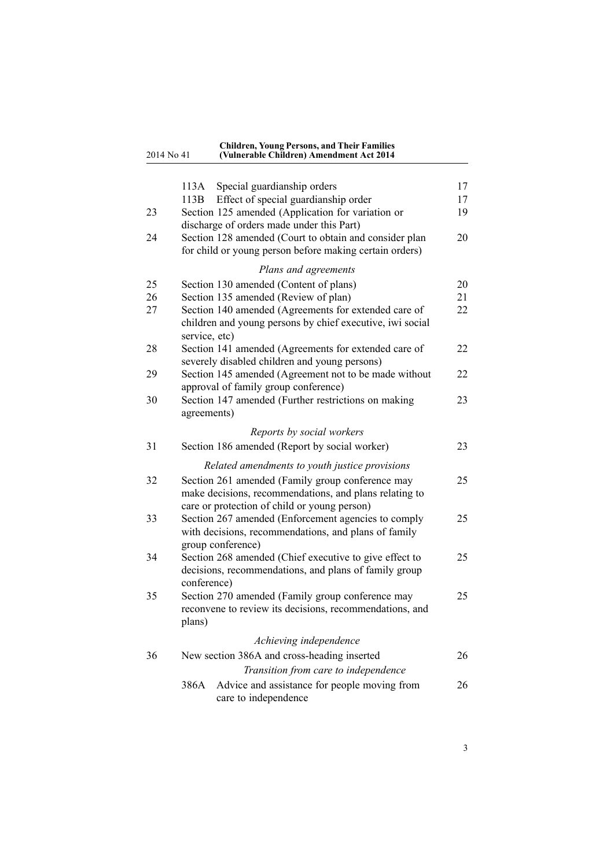#### 2014 No 41 **Children, Young Persons, and Their Families (Vulnerable Children) Amendment Act 2014**

|    | 113A          | Special guardianship orders                                                                                                                                | 17 |
|----|---------------|------------------------------------------------------------------------------------------------------------------------------------------------------------|----|
|    | 113B          | Effect of special guardianship order                                                                                                                       | 17 |
| 23 |               | Section 125 amended (Application for variation or<br>discharge of orders made under this Part)                                                             | 19 |
| 24 |               | Section 128 amended (Court to obtain and consider plan<br>for child or young person before making certain orders)                                          | 20 |
|    |               | Plans and agreements                                                                                                                                       |    |
| 25 |               | Section 130 amended (Content of plans)                                                                                                                     | 20 |
| 26 |               | Section 135 amended (Review of plan)                                                                                                                       | 21 |
| 27 | service, etc) | Section 140 amended (Agreements for extended care of<br>children and young persons by chief executive, iwi social                                          | 22 |
| 28 |               | Section 141 amended (Agreements for extended care of<br>severely disabled children and young persons)                                                      | 22 |
| 29 |               | Section 145 amended (Agreement not to be made without<br>approval of family group conference)                                                              | 22 |
| 30 | agreements)   | Section 147 amended (Further restrictions on making                                                                                                        | 23 |
|    |               | Reports by social workers                                                                                                                                  |    |
| 31 |               | Section 186 amended (Report by social worker)                                                                                                              | 23 |
|    |               | Related amendments to youth justice provisions                                                                                                             |    |
| 32 |               | Section 261 amended (Family group conference may<br>make decisions, recommendations, and plans relating to<br>care or protection of child or young person) | 25 |
| 33 |               | Section 267 amended (Enforcement agencies to comply<br>with decisions, recommendations, and plans of family<br>group conference)                           | 25 |
| 34 | conference)   | Section 268 amended (Chief executive to give effect to<br>decisions, recommendations, and plans of family group                                            | 25 |
| 35 | plans)        | Section 270 amended (Family group conference may<br>reconvene to review its decisions, recommendations, and                                                | 25 |
|    |               | Achieving independence                                                                                                                                     |    |
| 36 |               | New section 386A and cross-heading inserted                                                                                                                | 26 |
|    |               | Transition from care to independence                                                                                                                       |    |
|    | 386A          | Advice and assistance for people moving from<br>care to independence                                                                                       | 26 |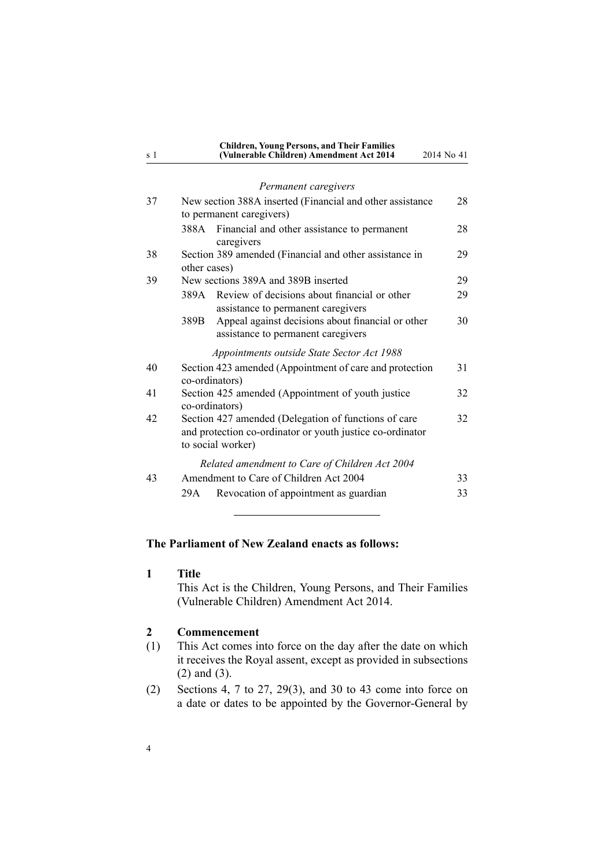<span id="page-3-0"></span>

| s <sub>1</sub> | <b>Children, Young Persons, and Their Families</b><br>(Vulnerable Children) Amendment Act 2014                                         | 2014 No 41 |
|----------------|----------------------------------------------------------------------------------------------------------------------------------------|------------|
|                | Permanent caregivers                                                                                                                   |            |
| 37             | New section 388A inserted (Financial and other assistance<br>to permanent caregivers)                                                  | 28         |
|                | 388A Financial and other assistance to permanent<br>caregivers                                                                         | 28         |
| 38             | Section 389 amended (Financial and other assistance in<br>other cases)                                                                 | 29         |
| 39             | New sections 389A and 389B inserted                                                                                                    | 29         |
|                | Review of decisions about financial or other<br>389A<br>assistance to permanent caregivers                                             | 29         |
|                | Appeal against decisions about financial or other<br>389B<br>assistance to permanent caregivers                                        | 30         |
|                | Appointments outside State Sector Act 1988                                                                                             |            |
| 40             | Section 423 amended (Appointment of care and protection<br>co-ordinators)                                                              | 31         |
| 41             | Section 425 amended (Appointment of youth justice<br>co-ordinators)                                                                    | 32         |
| 42             | Section 427 amended (Delegation of functions of care<br>and protection co-ordinator or youth justice co-ordinator<br>to social worker) | 32         |
|                | Related amendment to Care of Children Act 2004                                                                                         |            |
| 43             | Amendment to Care of Children Act 2004                                                                                                 | 33         |
|                | Revocation of appointment as guardian<br>29A                                                                                           | 33         |

# **The Parliament of New Zealand enacts as follows:**

**1 Title**

This Act is the Children, Young Persons, and Their Families (Vulnerable Children) Amendment Act 2014.

# **2 Commencement**

- (1) This Act comes into force on the day after the date on which it receives the Royal assent, excep<sup>t</sup> as provided in subsections (2) and (3).
- (2) [Sections](#page-4-0) 4, 7 to [27](#page-5-0), [29\(3\)](#page-21-0), and [30](#page-22-0) to 43 come into force on <sup>a</sup> date or dates to be appointed by the Governor-General by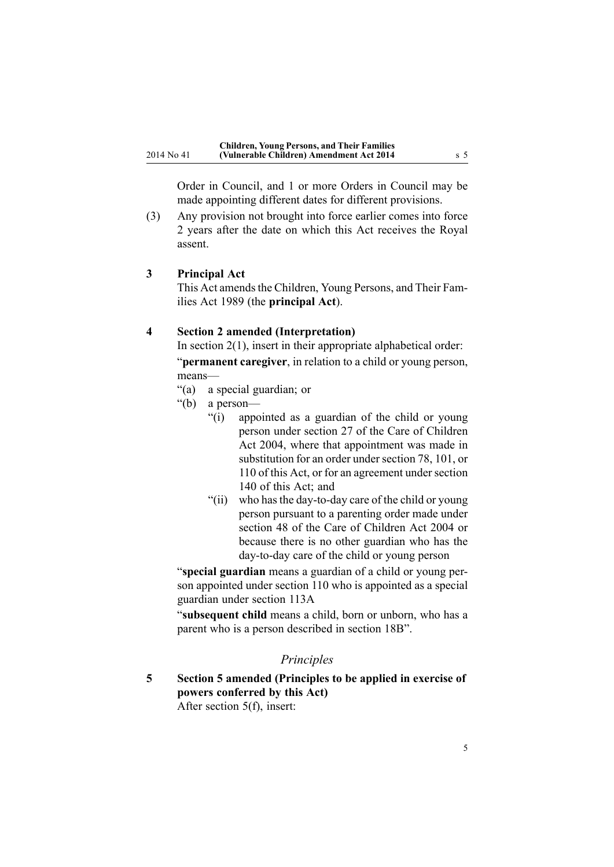<span id="page-4-0"></span>Order in Council, and 1 or more Orders in Council may be made appointing different dates for different provisions.

(3) Any provision not brought into force earlier comes into force 2 years after the date on which this Act receives the Royal assent.

#### **3 Principal Act**

This Act amends the [Children,](http://prd-lgnz-nlb.prd.pco.net.nz/pdflink.aspx?id=DLM147087) Young Persons, and Their Families Act [1989](http://prd-lgnz-nlb.prd.pco.net.nz/pdflink.aspx?id=DLM147087) (the **principal Act**).

### **4 Section 2 amended (Interpretation)**

In [section](http://prd-lgnz-nlb.prd.pco.net.nz/pdflink.aspx?id=DLM147094) 2(1), insert in their appropriate alphabetical order: "**permanen<sup>t</sup> caregiver**, in relation to <sup>a</sup> child or young person, means—

- "(a) <sup>a</sup> special guardian; or
- "(b) <sup>a</sup> person—
	- "(i) appointed as <sup>a</sup> guardian of the child or young person under section 27 of the Care of Children Act 2004, where that appointment was made in substitution for an order under section 78, 101, or 110 of this Act, or for an agreement under section 140 of this Act; and
	- "(ii) who hasthe day-to-day care of the child or young person pursuan<sup>t</sup> to <sup>a</sup> parenting order made under section 48 of the Care of Children Act 2004 or because there is no other guardian who has the day-to-day care of the child or young person

"**special guardian** means <sup>a</sup> guardian of <sup>a</sup> child or young person appointed under section 110 who is appointed as <sup>a</sup> special guardian under section 113A

"**subsequent child** means <sup>a</sup> child, born or unborn, who has <sup>a</sup> paren<sup>t</sup> who is <sup>a</sup> person described in section 18B".

# *Principles*

**5 Section 5 amended (Principles to be applied in exercise of powers conferred by this Act)**

After [section](http://prd-lgnz-nlb.prd.pco.net.nz/pdflink.aspx?id=DLM149440) 5(f), insert: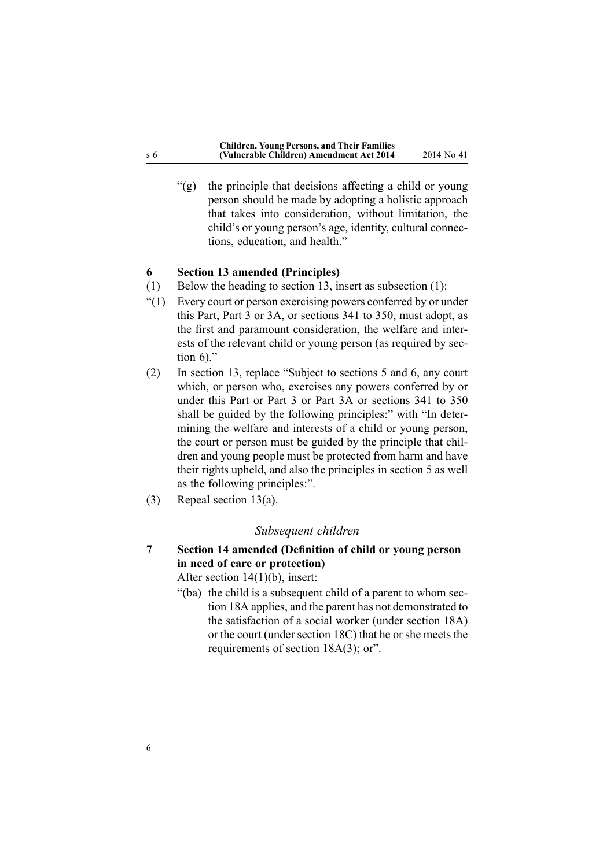<span id="page-5-0"></span>"(g) the principle that decisions affecting <sup>a</sup> child or young person should be made by adopting <sup>a</sup> holistic approach that takes into consideration, without limitation, the child's or young person's age, identity, cultural connections, education, and health."

#### **6 Section 13 amended (Principles)**

- (1) Below the heading to [section](http://prd-lgnz-nlb.prd.pco.net.nz/pdflink.aspx?id=DLM149454) 13, insert as subsection (1):
- "(1) Every court or person exercising powers conferred by or under this Part, Part 3 or 3A, or sections 341 to 350, must adopt, as the first and paramoun<sup>t</sup> consideration, the welfare and interests of the relevant child or young person (as required by section 6)."
- (2) In [section](http://prd-lgnz-nlb.prd.pco.net.nz/pdflink.aspx?id=DLM149454) 13, replace "Subject to sections 5 and 6, any court which, or person who, exercises any powers conferred by or under this Part or Part 3 or Part 3A or sections 341 to 350 shall be guided by the following principles:" with "In determining the welfare and interests of <sup>a</sup> child or young person, the court or person must be guided by the principle that children and young people must be protected from harm and have their rights upheld, and also the principles in section 5 as well as the following principles:".
- (3) Repeal [section](http://prd-lgnz-nlb.prd.pco.net.nz/pdflink.aspx?id=DLM149454) 13(a).

#### *Subsequent children*

**7 Section 14 amended (Definition of child or young person in need of care or protection)**

After section [14\(1\)\(b\)](http://prd-lgnz-nlb.prd.pco.net.nz/pdflink.aspx?id=DLM149457), insert:

"(ba) the child is <sup>a</sup> subsequent child of <sup>a</sup> paren<sup>t</sup> to whom section 18A applies, and the paren<sup>t</sup> has not demonstrated to the satisfaction of <sup>a</sup> social worker (under section 18A) or the court (under section 18C) that he or she meets the requirements of section 18A(3); or".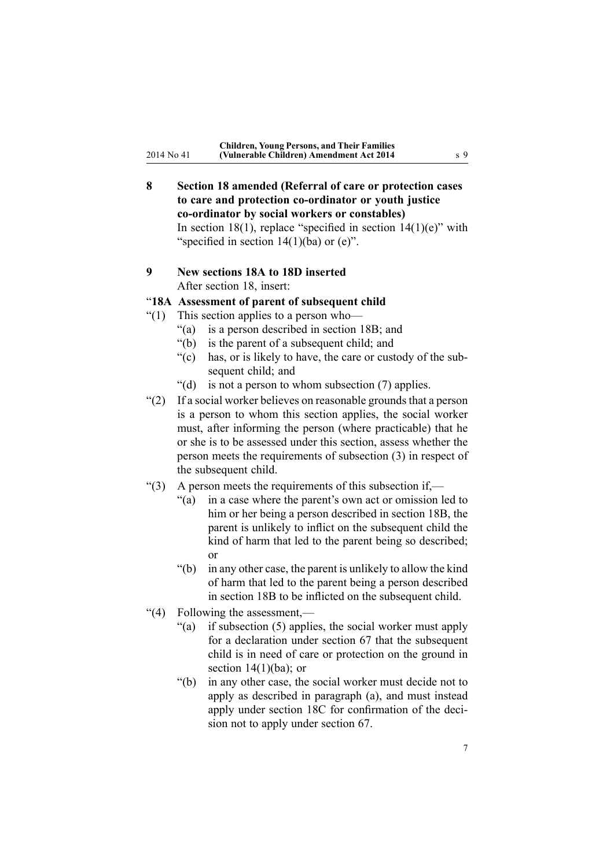<span id="page-6-0"></span>**8 Section 18 amended (Referral of care or protection cases to care and protection co-ordinator or youth justice co-ordinator by social workers or constables)** In [section](http://prd-lgnz-nlb.prd.pco.net.nz/pdflink.aspx?id=DLM149472) 18(1), replace "specified in section  $14(1)(e)$ " with "specified in section  $14(1)(ba)$  or  $(e)$ ".

# **9 New sections 18A to 18D inserted** After [section](http://prd-lgnz-nlb.prd.pco.net.nz/pdflink.aspx?id=DLM149472) 18, insert:

# "**18A Assessment of parent of subsequent child**

- "(1) This section applies to <sup>a</sup> person who—
	- "(a) is <sup>a</sup> person described in section 18B; and
	- "(b) is the paren<sup>t</sup> of <sup>a</sup> subsequent child; and
	- "(c) has, or is likely to have, the care or custody of the subsequen<sup>t</sup> child; and
	- "(d) is not a person to whom subsection  $(7)$  applies.
- $(2)$  If a social worker believes on reasonable grounds that a person is <sup>a</sup> person to whom this section applies, the social worker must, after informing the person (where practicable) that he or she is to be assessed under this section, assess whether the person meets the requirements of subsection (3) in respec<sup>t</sup> of the subsequent child.
- "(3) A person meets the requirements of this subsection if,—
	- "(a) in <sup>a</sup> case where the parent's own act or omission led to him or her being <sup>a</sup> person described in section 18B, the paren<sup>t</sup> is unlikely to inflict on the subsequent child the kind of harm that led to the paren<sup>t</sup> being so described; or
	- "(b) in any other case, the paren<sup>t</sup> is unlikely to allow the kind of harm that led to the paren<sup>t</sup> being <sup>a</sup> person described in section 18B to be inflicted on the subsequent child.
- "(4) Following the assessment,—
	- "(a) if subsection (5) applies, the social worker must apply for <sup>a</sup> declaration under section 67 that the subsequent child is in need of care or protection on the ground in section  $14(1)(ba)$ ; or
	- "(b) in any other case, the social worker must decide not to apply as described in paragraph (a), and must instead apply under section 18C for confirmation of the decision not to apply under section 67.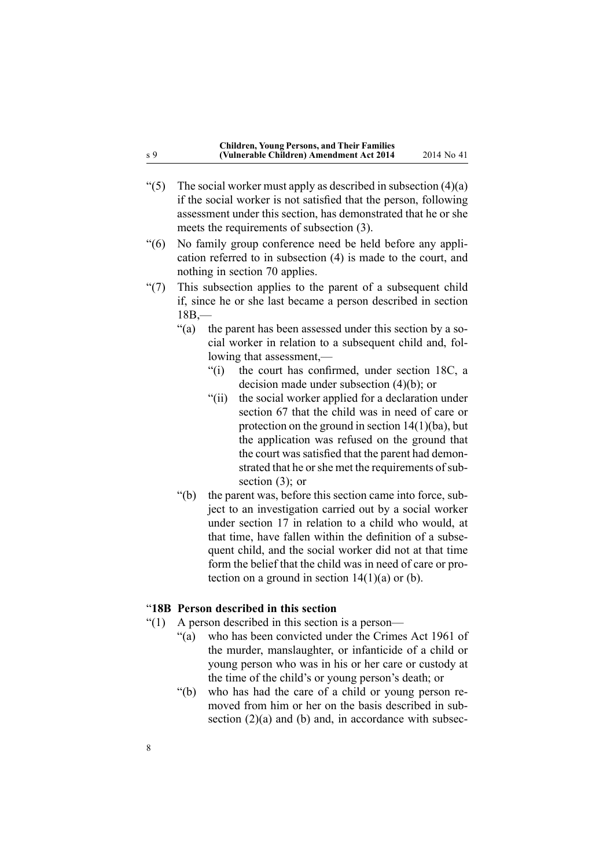| <b>Children, Young Persons, and Their Families</b> |             |
|----------------------------------------------------|-------------|
| (Vulnerable Children) Amendment Act 2014           | 2014 No. 41 |

- <span id="page-7-0"></span>"(5) The social worker must apply as described in subsection  $(4)(a)$ if the social worker is not satisfied that the person, following assessment under this section, has demonstrated that he or she meets the requirements of subsection (3).
- "(6) No family group conference need be held before any application referred to in subsection (4) is made to the court, and nothing in section 70 applies.
- "(7) This subsection applies to the paren<sup>t</sup> of <sup>a</sup> subsequent child if, since he or she last became <sup>a</sup> person described in section  $18B -$ 
	- "(a) the paren<sup>t</sup> has been assessed under this section by <sup>a</sup> social worker in relation to <sup>a</sup> subsequent child and, following that assessment,—
		- "(i) the court has confirmed, under section 18C, <sup>a</sup> decision made under subsection (4)(b); or
		- "(ii) the social worker applied for <sup>a</sup> declaration under section 67 that the child was in need of care or protection on the ground in section 14(1)(ba), but the application was refused on the ground that the court was satisfied that the parent had demonstrated that he or she met the requirements of subsection (3); or
	- "(b) the paren<sup>t</sup> was, before this section came into force, subject to an investigation carried out by <sup>a</sup> social worker under section 17 in relation to <sup>a</sup> child who would, at that time, have fallen within the definition of <sup>a</sup> subsequen<sup>t</sup> child, and the social worker did not at that time form the belief that the child was in need of care or protection on a ground in section  $14(1)(a)$  or (b).

#### "**18B Person described in this section**

- "(1) A person described in this section is <sup>a</sup> person—
	- "(a) who has been convicted under the Crimes Act 1961 of the murder, manslaughter, or infanticide of <sup>a</sup> child or young person who was in his or her care or custody at the time of the child's or young person's death; or
	- "(b) who has had the care of <sup>a</sup> child or young person removed from him or her on the basis described in subsection  $(2)(a)$  and  $(b)$  and, in accordance with subsec-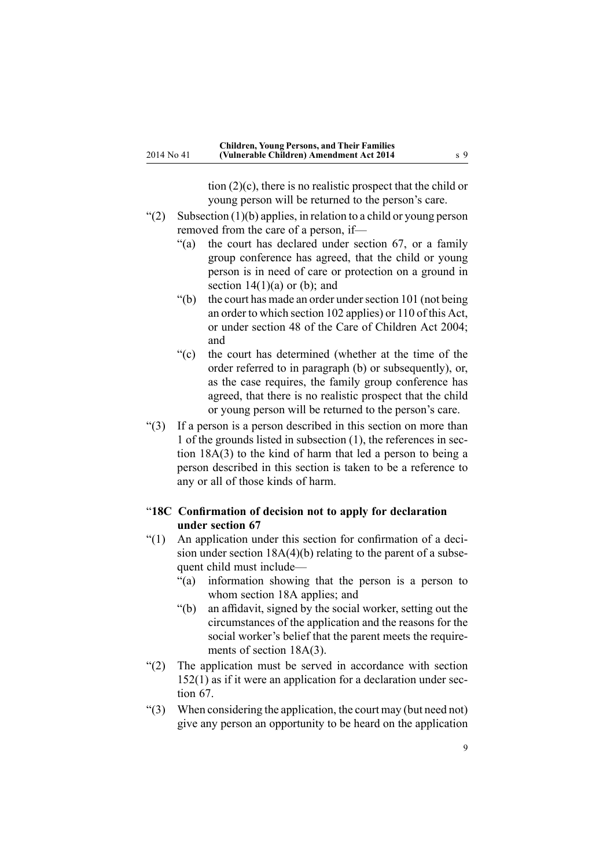tion (2)(c), there is no realistic prospec<sup>t</sup> that the child or young person will be returned to the person's care.

- <span id="page-8-0"></span>"(2) Subsection  $(1)(b)$  applies, in relation to a child or young person removed from the care of <sup>a</sup> person, if—
	- "(a) the court has declared under section 67, or <sup>a</sup> family group conference has agreed, that the child or young person is in need of care or protection on <sup>a</sup> ground in section  $14(1)(a)$  or (b); and
	- "(b) the court has made an order under section  $101$  (not being an order to which section 102 applies) or 110 of this Act, or under section 48 of the Care of Children Act 2004; and
	- "(c) the court has determined (whether at the time of the order referred to in paragraph (b) or subsequently), or, as the case requires, the family group conference has agreed, that there is no realistic prospec<sup>t</sup> that the child or young person will be returned to the person's care.
- "(3) If <sup>a</sup> person is <sup>a</sup> person described in this section on more than 1 of the grounds listed in subsection (1), the references in section 18A(3) to the kind of harm that led <sup>a</sup> person to being <sup>a</sup> person described in this section is taken to be <sup>a</sup> reference to any or all of those kinds of harm.

#### "**18C Confirmation of decision not to apply for declaration under section 67**

- "(1) An application under this section for confirmation of <sup>a</sup> decision under section 18A(4)(b) relating to the paren<sup>t</sup> of <sup>a</sup> subsequen<sup>t</sup> child must include—
	- "(a) information showing that the person is <sup>a</sup> person to whom section 18A applies; and
	- "(b) an affidavit, signed by the social worker, setting out the circumstances of the application and the reasons for the social worker's belief that the paren<sup>t</sup> meets the requirements of section 18A(3).
- "(2) The application must be served in accordance with section 152(1) as if it were an application for <sup>a</sup> declaration under section 67.
- "(3) When considering the application, the court may (but need not) give any person an opportunity to be heard on the application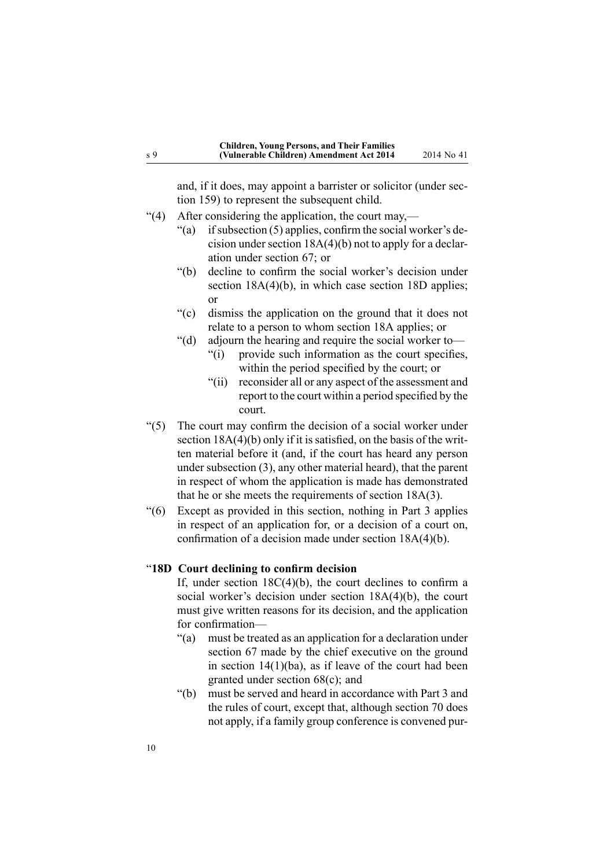<span id="page-9-0"></span>and, if it does, may appoint <sup>a</sup> barrister or solicitor (under section 159) to represen<sup>t</sup> the subsequent child.

- "(4) After considering the application, the court may,—
	- "(a) if subsection  $(5)$  applies, confirm the social worker's decision under section 18A(4)(b) not to apply for <sup>a</sup> declaration under section 67; or
	- "(b) decline to confirm the social worker's decision under section 18A(4)(b), in which case section 18D applies; or
	- "(c) dismiss the application on the ground that it does not relate to <sup>a</sup> person to whom section 18A applies; or
	- "(d) adjourn the hearing and require the social worker to—
		- "(i) provide such information as the court specifies, within the period specified by the court; or
		- "(ii) reconsider all or any aspec<sup>t</sup> of the assessment and repor<sup>t</sup> to the court within <sup>a</sup> period specified by the court.
- "(5) The court may confirm the decision of <sup>a</sup> social worker under section 18A(4)(b) only if it is satisfied, on the basis of the written material before it (and, if the court has heard any person under subsection (3), any other material heard), that the paren<sup>t</sup> in respec<sup>t</sup> of whom the application is made has demonstrated that he or she meets the requirements of section 18A(3).
- "(6) Except as provided in this section, nothing in Part 3 applies in respec<sup>t</sup> of an application for, or <sup>a</sup> decision of <sup>a</sup> court on, confirmation of <sup>a</sup> decision made under section 18A(4)(b).

# "**18D Court declining to confirm decision**

If, under section 18C(4)(b), the court declines to confirm <sup>a</sup> social worker's decision under section 18A(4)(b), the court must give written reasons for its decision, and the application for confirmation—

- "(a) must be treated as an application for <sup>a</sup> declaration under section 67 made by the chief executive on the ground in section  $14(1)(ba)$ , as if leave of the court had been granted under section 68(c); and
- "(b) must be served and heard in accordance with Part 3 and the rules of court, excep<sup>t</sup> that, although section 70 does not apply, if <sup>a</sup> family group conference is convened pur-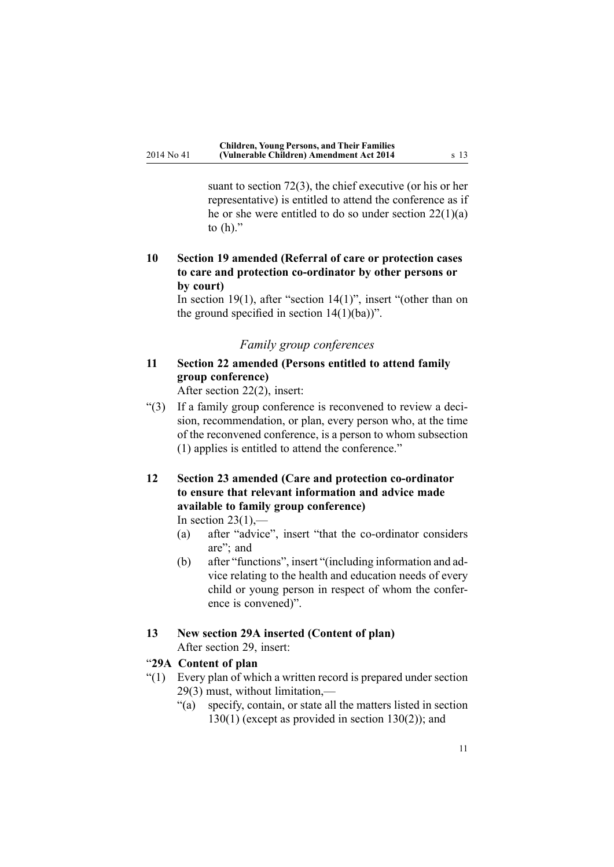<span id="page-10-0"></span>suant to section 72(3), the chief executive (or his or her representative) is entitled to attend the conference as if he or she were entitled to do so under section 22(1)(a) to  $(h)$ ."

# **10 Section 19 amended (Referral of care or protection cases to care and protection co-ordinator by other persons or by court)**

In [section](http://prd-lgnz-nlb.prd.pco.net.nz/pdflink.aspx?id=DLM149473) 19(1), after "section 14(1)", insert "(other than on the ground specified in section  $14(1)(ba)$ ".

# *Family group conferences*

# **11 Section 22 amended (Persons entitled to attend family group conference)**

After [section](http://prd-lgnz-nlb.prd.pco.net.nz/pdflink.aspx?id=DLM149480) 22(2), insert:

"(3) If <sup>a</sup> family group conference is reconvened to review <sup>a</sup> decision, recommendation, or plan, every person who, at the time of the reconvened conference, is <sup>a</sup> person to whom subsection (1) applies is entitled to attend the conference."

# **12 Section 23 amended (Care and protection co-ordinator to ensure that relevant information and advice made available to family group conference)** In [section](http://prd-lgnz-nlb.prd.pco.net.nz/pdflink.aspx?id=DLM149483)  $23(1)$ ,—

- (a) after "advice", insert "that the co-ordinator considers are"; and
- (b) after "functions", insert "(including information and advice relating to the health and education needs of every child or young person in respec<sup>t</sup> of whom the conference is convened)".

#### **13 New section 29A inserted (Content of plan)** After [section](http://prd-lgnz-nlb.prd.pco.net.nz/pdflink.aspx?id=DLM149489) 29, insert:

#### "**29A Content of plan**

- "(1) Every plan of which <sup>a</sup> written record is prepared under section 29(3) must, without limitation,—
	- "(a) specify, contain, or state all the matters listed in section  $130(1)$  (except as provided in section  $130(2)$ ); and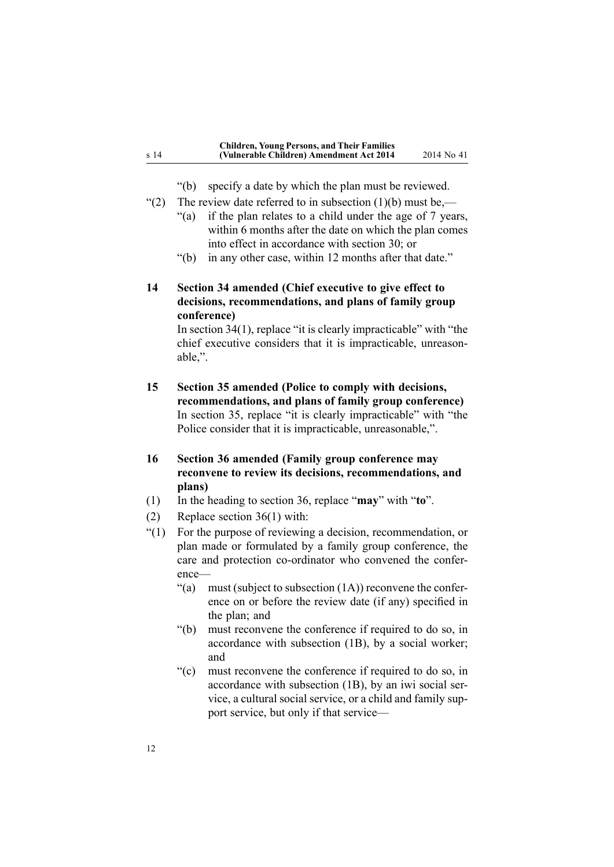"(b) specify <sup>a</sup> date by which the plan must be reviewed.

- <span id="page-11-0"></span>"(2) The review date referred to in subsection  $(1)(b)$  must be,—
	- "(a) if the plan relates to <sup>a</sup> child under the age of 7 years, within 6 months after the date on which the plan comes into effect in accordance with section 30; or
	- "(b) in any other case, within 12 months after that date."

# **14 Section 34 amended (Chief executive to give effect to decisions, recommendations, and plans of family group conference)**

In [section](http://prd-lgnz-nlb.prd.pco.net.nz/pdflink.aspx?id=DLM149495) 34(1), replace "it is clearly impracticable" with "the chief executive considers that it is impracticable, unreasonable,".

**15 Section 35 amended (Police to comply with decisions, recommendations, and plans of family group conference)** In [section](http://prd-lgnz-nlb.prd.pco.net.nz/pdflink.aspx?id=DLM149497) 35, replace "it is clearly impracticable" with "the Police consider that it is impracticable, unreasonable,".

# **16 Section 36 amended (Family group conference may reconvene to review its decisions, recommendations, and plans)**

- (1) In the heading to [section](http://prd-lgnz-nlb.prd.pco.net.nz/pdflink.aspx?id=DLM149498) 36, replace "**may**" with "**to**".
- (2) Replace [section](http://prd-lgnz-nlb.prd.pco.net.nz/pdflink.aspx?id=DLM149498) 36(1) with:
- "(1) For the purpose of reviewing <sup>a</sup> decision, recommendation, or plan made or formulated by <sup>a</sup> family group conference, the care and protection co-ordinator who convened the conference—
	- "(a) must (subject to subsection  $(1A)$ ) reconvene the conference on or before the review date (if any) specified in the plan; and
	- "(b) must reconvene the conference if required to do so, in accordance with subsection (1B), by <sup>a</sup> social worker; and
	- "(c) must reconvene the conference if required to do so, in accordance with subsection (1B), by an iwi social service, <sup>a</sup> cultural social service, or <sup>a</sup> child and family suppor<sup>t</sup> service, but only if that service—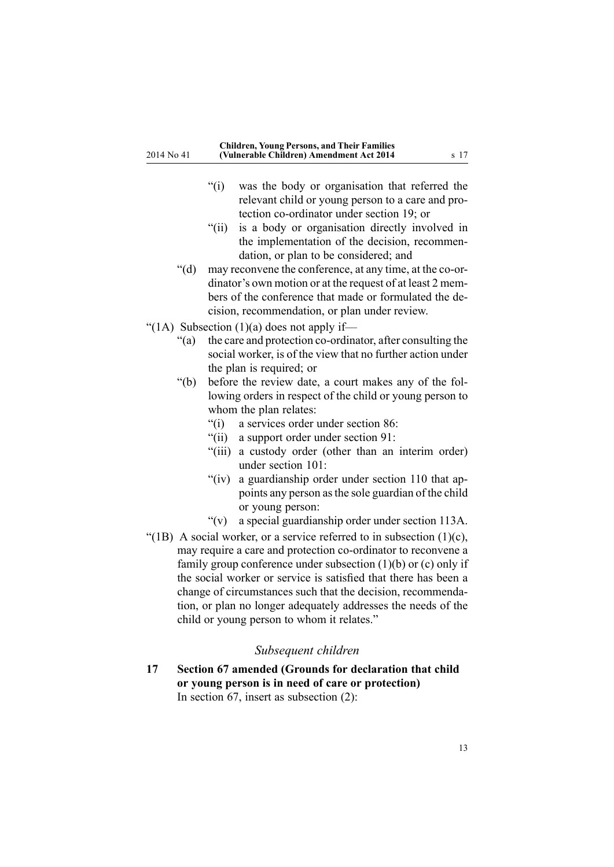- <span id="page-12-0"></span>"(i) was the body or organisation that referred the relevant child or young person to <sup>a</sup> care and protection co-ordinator under section 19; or
- "(ii) is <sup>a</sup> body or organisation directly involved in the implementation of the decision, recommendation, or plan to be considered; and
- "(d) may reconvene the conference, at any time, at the co-ordinator's own motion or at the reques<sup>t</sup> of at least 2 members of the conference that made or formulated the decision, recommendation, or plan under review.
- "(1A) Subsection  $(1)(a)$  does not apply if—
	- "(a) the care and protection co-ordinator, after consulting the social worker, is of the view that no further action under the plan is required; or
	- "(b) before the review date, <sup>a</sup> court makes any of the following orders in respec<sup>t</sup> of the child or young person to whom the plan relates:
		- "(i) <sup>a</sup> services order under section 86:
		- "(ii) <sup>a</sup> suppor<sup>t</sup> order under section 91:
		- "(iii) <sup>a</sup> custody order (other than an interim order) under section 101:
		- "(iv) <sup>a</sup> guardianship order under section 110 that appoints any person asthe sole guardian of the child or young person:
		- "(v) <sup>a</sup> special guardianship order under section 113A.
- "(1B) A social worker, or a service referred to in subsection  $(1)(c)$ , may require <sup>a</sup> care and protection co-ordinator to reconvene <sup>a</sup> family group conference under subsection (1)(b) or (c) only if the social worker or service is satisfied that there has been <sup>a</sup> change of circumstances such that the decision, recommendation, or plan no longer adequately addresses the needs of the child or young person to whom it relates."

#### *Subsequent children*

**17 Section 67 amended (Grounds for declaration that child or young person is in need of care or protection)** In [section](http://prd-lgnz-nlb.prd.pco.net.nz/pdflink.aspx?id=DLM150051) 67, insert as subsection (2):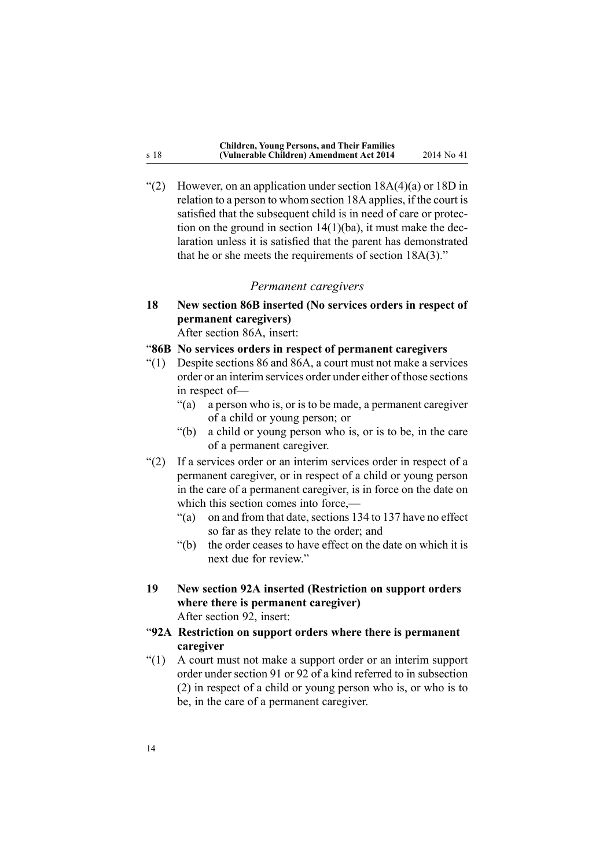<span id="page-13-0"></span>"(2) However, on an application under section  $18A(4)(a)$  or  $18D$  in relation to <sup>a</sup> person to whom section 18A applies, if the court is satisfied that the subsequent child is in need of care or protection on the ground in section 14(1)(ba), it must make the declaration unless it is satisfied that the paren<sup>t</sup> has demonstrated that he or she meets the requirements of section 18A(3)."

#### *Permanent caregivers*

**18 New section 86B inserted (No services orders in respect of permanent caregivers)**

After [section](http://prd-lgnz-nlb.prd.pco.net.nz/pdflink.aspx?id=DLM150092) 86A, insert:

"**86B No services orders in respect of permanent caregivers**

- $''(1)$  Despite sections 86 and 86A, a court must not make a services order or an interim services order under either of those sections in respec<sup>t</sup> of—
	- "(a) <sup>a</sup> person who is, or is to be made, <sup>a</sup> permanen<sup>t</sup> caregiver of <sup>a</sup> child or young person; or
	- "(b) <sup>a</sup> child or young person who is, or is to be, in the care of <sup>a</sup> permanen<sup>t</sup> caregiver.
- "(2) If <sup>a</sup> services order or an interim services order in respec<sup>t</sup> of <sup>a</sup> permanen<sup>t</sup> caregiver, or in respec<sup>t</sup> of <sup>a</sup> child or young person in the care of <sup>a</sup> permanen<sup>t</sup> caregiver, is in force on the date on which this section comes into force,—
	- "(a) on and from that date, sections 134 to 137 have no effect so far as they relate to the order; and
	- "(b) the order ceases to have effect on the date on which it is next due for review."
- **19 New section 92A inserted (Restriction on support orders where there is permanent caregiver)** After [section](http://prd-lgnz-nlb.prd.pco.net.nz/pdflink.aspx?id=DLM150405) 92, insert:
- "**92A Restriction on support orders where there is permanent caregiver**
- "(1) A court must not make <sup>a</sup> suppor<sup>t</sup> order or an interim suppor<sup>t</sup> order under section 91 or 92 of <sup>a</sup> kind referred to in subsection (2) in respec<sup>t</sup> of <sup>a</sup> child or young person who is, or who is to be, in the care of <sup>a</sup> permanen<sup>t</sup> caregiver.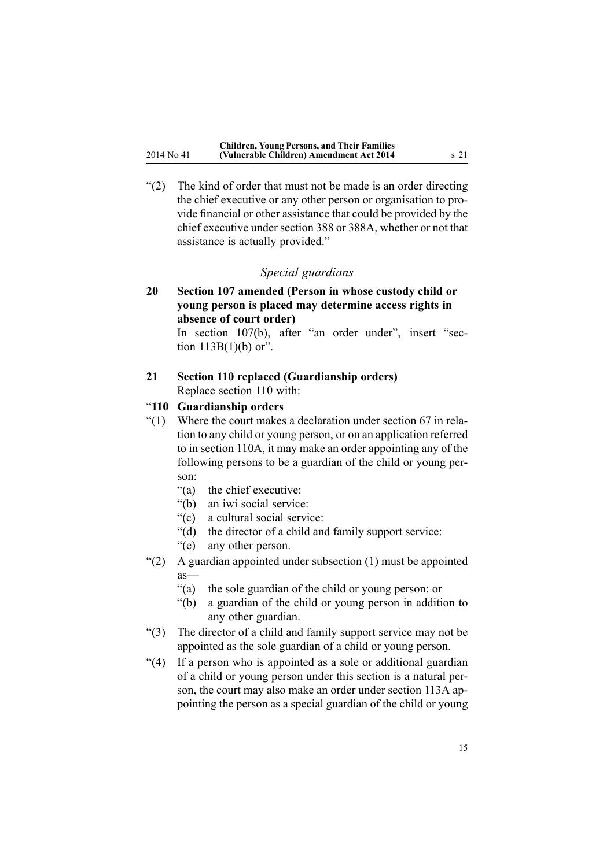<span id="page-14-0"></span>"(2) The kind of order that must not be made is an order directing the chief executive or any other person or organisation to provide financial or other assistance that could be provided by the chief executive under section 388 or 388A, whether or not that assistance is actually provided."

# *Special guardians*

**20 Section 107 amended (Person in whose custody child or young person is placed may determine access rights in absence of court order)**

> In section [107\(b\)](http://prd-lgnz-nlb.prd.pco.net.nz/pdflink.aspx?id=DLM150436), after "an order under", insert "section  $113B(1)(b)$  or".

# **21 Section 110 replaced (Guardianship orders)** Replace [section](http://prd-lgnz-nlb.prd.pco.net.nz/pdflink.aspx?id=DLM150441) 110 with:

### "**110 Guardianship orders**

- "(1) Where the court makes <sup>a</sup> declaration under section 67 in relation to any child or young person, or on an application referred to in section 110A, it may make an order appointing any of the following persons to be <sup>a</sup> guardian of the child or young person:
	- "(a) the chief executive:
	- "(b) an iwi social service:
	- "(c) <sup>a</sup> cultural social service:
	- "(d) the director of <sup>a</sup> child and family suppor<sup>t</sup> service:
	- "(e) any other person.
- "(2) A guardian appointed under subsection (1) must be appointed as—
	- "(a) the sole guardian of the child or young person; or
	- "(b) <sup>a</sup> guardian of the child or young person in addition to any other guardian.
- "(3) The director of <sup>a</sup> child and family suppor<sup>t</sup> service may not be appointed as the sole guardian of <sup>a</sup> child or young person.
- "(4) If <sup>a</sup> person who is appointed as <sup>a</sup> sole or additional guardian of <sup>a</sup> child or young person under this section is <sup>a</sup> natural person, the court may also make an order under section 113A appointing the person as <sup>a</sup> special guardian of the child or young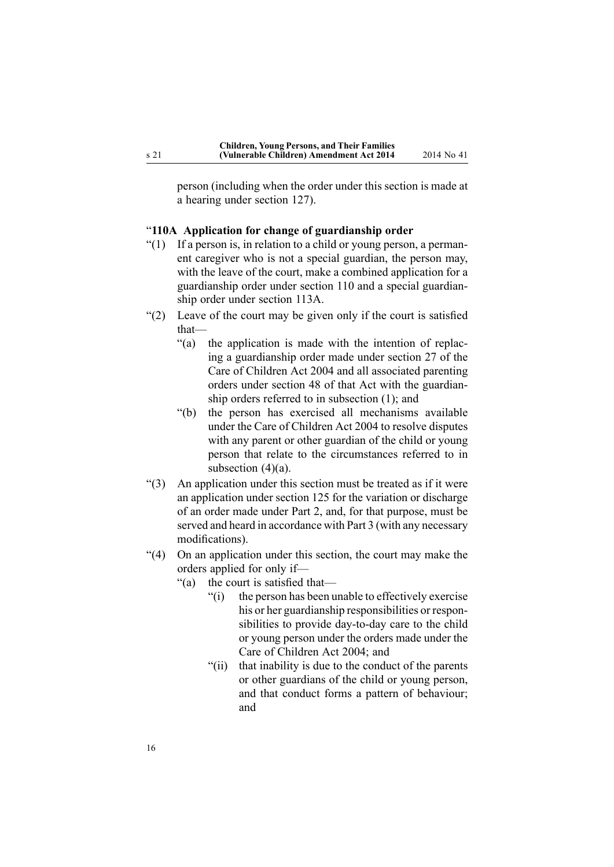<span id="page-15-0"></span>person (including when the order under this section is made at <sup>a</sup> hearing under section 127).

#### "**110A Application for change of guardianship order**

- "(1) If <sup>a</sup> person is, in relation to <sup>a</sup> child or young person, <sup>a</sup> permanent caregiver who is not <sup>a</sup> special guardian, the person may, with the leave of the court, make <sup>a</sup> combined application for <sup>a</sup> guardianship order under section 110 and <sup>a</sup> special guardianship order under section 113A.
- "(2) Leave of the court may be given only if the court is satisfied that—
	- "(a) the application is made with the intention of replacing <sup>a</sup> guardianship order made under section 27 of the Care of Children Act 2004 and all associated parenting orders under section 48 of that Act with the guardianship orders referred to in subsection (1); and
	- "(b) the person has exercised all mechanisms available under the Care of Children Act 2004 to resolve disputes with any paren<sup>t</sup> or other guardian of the child or young person that relate to the circumstances referred to in subsection  $(4)(a)$ .
- "(3) An application under this section must be treated as if it were an application under section 125 for the variation or discharge of an order made under Part 2, and, for that purpose, must be served and heard in accordance with Part 3 (with any necessary modifications).
- "(4) On an application under this section, the court may make the orders applied for only if—
	- "(a) the court is satisfied that—
		- "(i) the person has been unable to effectively exercise his or her guardianship responsibilities or responsibilities to provide day-to-day care to the child or young person under the orders made under the Care of Children Act 2004; and
		- "(ii) that inability is due to the conduct of the parents or other guardians of the child or young person, and that conduct forms <sup>a</sup> pattern of behaviour; and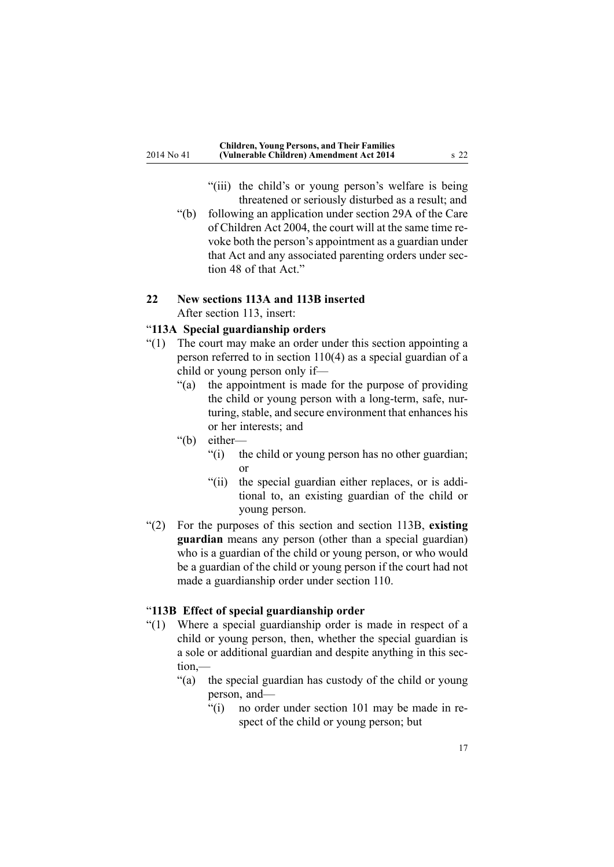- "(iii) the child's or young person's welfare is being threatened or seriously disturbed as <sup>a</sup> result; and
- <span id="page-16-0"></span>"(b) following an application under section 29A of the Care of Children Act 2004, the court will at the same time revoke both the person's appointment as <sup>a</sup> guardian under that Act and any associated parenting orders under section 48 of that Act."

# **22 New sections 113A and 113B inserted**

After [section](http://prd-lgnz-nlb.prd.pco.net.nz/pdflink.aspx?id=DLM150448) 113, insert:

#### "**113A Special guardianship orders**

- "(1) The court may make an order under this section appointing <sup>a</sup> person referred to in section 110(4) as <sup>a</sup> special guardian of <sup>a</sup> child or young person only if—
	- "(a) the appointment is made for the purpose of providing the child or young person with <sup>a</sup> long-term, safe, nurturing, stable, and secure environment that enhances his or her interests; and
	- "(b) either—
		- "(i) the child or young person has no other guardian; or
		- "(ii) the special guardian either replaces, or is additional to, an existing guardian of the child or young person.
- "(2) For the purposes of this section and section 113B, **existing guardian** means any person (other than <sup>a</sup> special guardian) who is <sup>a</sup> guardian of the child or young person, or who would be <sup>a</sup> guardian of the child or young person if the court had not made <sup>a</sup> guardianship order under section 110.

#### "**113B Effect of special guardianship order**

- "(1) Where <sup>a</sup> special guardianship order is made in respec<sup>t</sup> of <sup>a</sup> child or young person, then, whether the special guardian is <sup>a</sup> sole or additional guardian and despite anything in this section,—
	- "(a) the special guardian has custody of the child or young person, and—
		- "(i) no order under section 101 may be made in respec<sup>t</sup> of the child or young person; but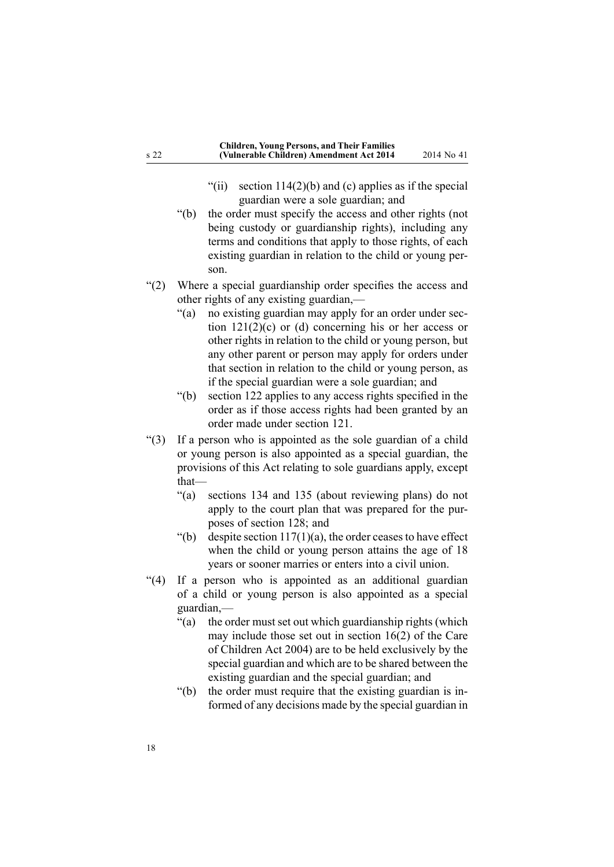- "(ii) section  $114(2)(b)$  and (c) applies as if the special guardian were <sup>a</sup> sole guardian; and
- "(b) the order must specify the access and other rights (not being custody or guardianship rights), including any terms and conditions that apply to those rights, of each existing guardian in relation to the child or young person.
- "(2) Where <sup>a</sup> special guardianship order specifies the access and other rights of any existing guardian,—
	- "(a) no existing guardian may apply for an order under section  $121(2)(c)$  or (d) concerning his or her access or other rights in relation to the child or young person, but any other paren<sup>t</sup> or person may apply for orders under that section in relation to the child or young person, as if the special guardian were <sup>a</sup> sole guardian; and
	- "(b) section 122 applies to any access rights specified in the order as if those access rights had been granted by an order made under section 121.
- "(3) If <sup>a</sup> person who is appointed as the sole guardian of <sup>a</sup> child or young person is also appointed as <sup>a</sup> special guardian, the provisions of this Act relating to sole guardians apply, excep<sup>t</sup> that—
	- "(a) sections 134 and 135 (about reviewing plans) do not apply to the court plan that was prepared for the purposes of section 128; and
	- "(b) despite section  $117(1)(a)$ , the order ceases to have effect when the child or young person attains the age of 18 years or sooner marries or enters into <sup>a</sup> civil union.
- "(4) If <sup>a</sup> person who is appointed as an additional guardian of <sup>a</sup> child or young person is also appointed as <sup>a</sup> special guardian,—
	- "(a) the order must set out which guardianship rights (which may include those set out in section 16(2) of the Care of Children Act 2004) are to be held exclusively by the special guardian and which are to be shared between the existing guardian and the special guardian; and
	- "(b) the order must require that the existing guardian is informed of any decisions made by the special guardian in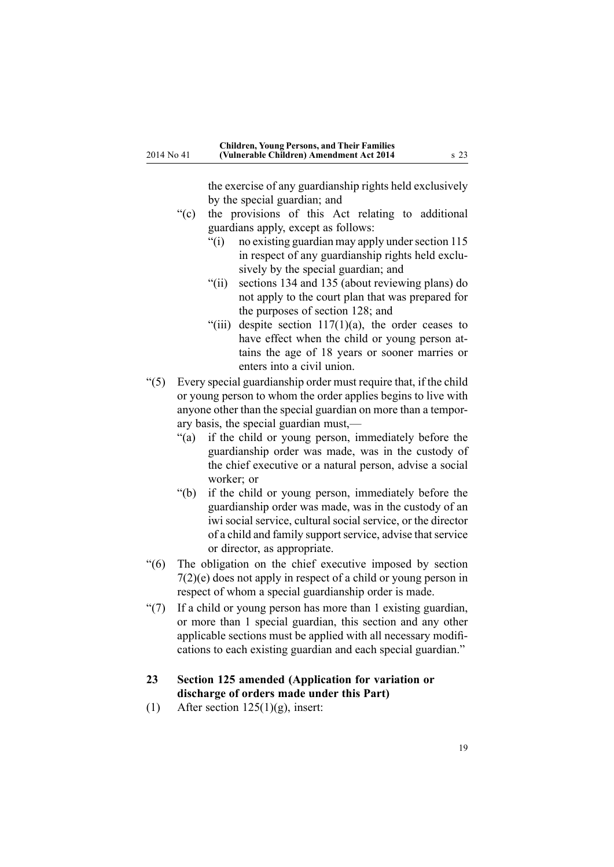the exercise of any guardianship rights held exclusively by the special guardian; and

- <span id="page-18-0"></span>"(c) the provisions of this Act relating to additional guardians apply, excep<sup>t</sup> as follows:
	- $\degree$ (i) no existing guardian may apply under section 115 in respec<sup>t</sup> of any guardianship rights held exclusively by the special guardian; and
	- "(ii) sections 134 and 135 (about reviewing plans) do not apply to the court plan that was prepared for the purposes of section 128; and
	- "(iii) despite section  $117(1)(a)$ , the order ceases to have effect when the child or young person attains the age of 18 years or sooner marries or enters into <sup>a</sup> civil union.
- "(5) Every special guardianship order must require that, if the child or young person to whom the order applies begins to live with anyone other than the special guardian on more than <sup>a</sup> temporary basis, the special guardian must,—
	- "(a) if the child or young person, immediately before the guardianship order was made, was in the custody of the chief executive or <sup>a</sup> natural person, advise <sup>a</sup> social worker; or
	- "(b) if the child or young person, immediately before the guardianship order was made, was in the custody of an iwi social service, cultural social service, or the director of a child and family support service, advise that service or director, as appropriate.
- "(6) The obligation on the chief executive imposed by section 7(2)(e) does not apply in respec<sup>t</sup> of <sup>a</sup> child or young person in respec<sup>t</sup> of whom <sup>a</sup> special guardianship order is made.
- "(7) If <sup>a</sup> child or young person has more than 1 existing guardian, or more than 1 special guardian, this section and any other applicable sections must be applied with all necessary modifications to each existing guardian and each special guardian."

# **23 Section 125 amended (Application for variation or discharge of orders made under this Part)**

(1) After section  $125(1)(g)$ , insert: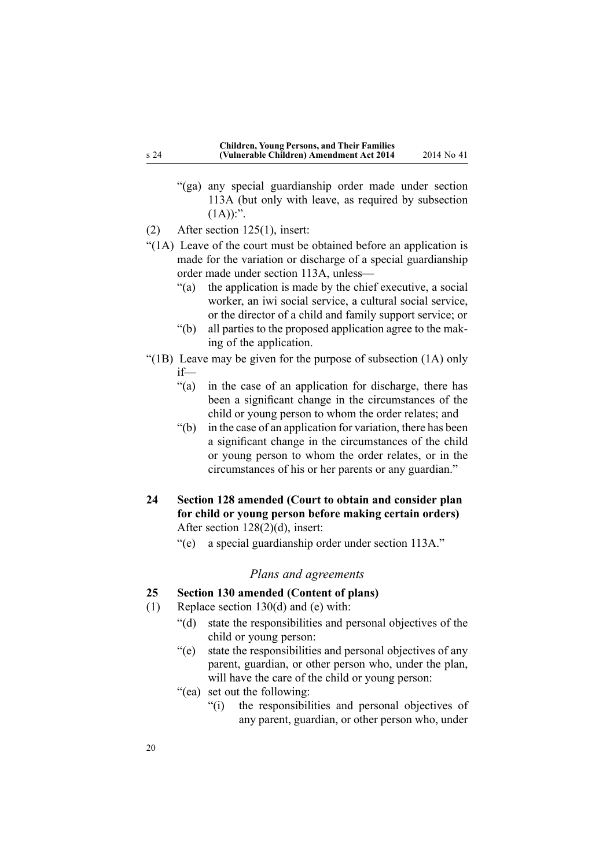- <span id="page-19-0"></span>"(ga) any special guardianship order made under section 113A (but only with leave, as required by subsection  $(1A))$ :".
- (2) After section [125\(1\)](http://prd-lgnz-nlb.prd.pco.net.nz/pdflink.aspx?id=DLM150486), insert:
- "(1A) Leave of the court must be obtained before an application is made for the variation or discharge of <sup>a</sup> special guardianship order made under section 113A, unless—
	- "(a) the application is made by the chief executive, <sup>a</sup> social worker, an iwi social service, <sup>a</sup> cultural social service, or the director of <sup>a</sup> child and family suppor<sup>t</sup> service; or
	- "(b) all parties to the proposed application agree to the making of the application.
- "(1B) Leave may be given for the purpose of subsection (1A) only if—
	- "(a) in the case of an application for discharge, there has been <sup>a</sup> significant change in the circumstances of the child or young person to whom the order relates; and
	- "(b) in the case of an application for variation, there has been <sup>a</sup> significant change in the circumstances of the child or young person to whom the order relates, or in the circumstances of his or her parents or any guardian."
- **24 Section 128 amended (Court to obtain and consider plan for child or young person before making certain orders)** After section [128\(2\)\(d\)](http://prd-lgnz-nlb.prd.pco.net.nz/pdflink.aspx?id=DLM151000), insert:
	- "(e) <sup>a</sup> special guardianship order under section 113A."

#### *Plans and agreements*

# **25 Section 130 amended (Content of plans)**

- (1) Replace section [130\(d\)](http://prd-lgnz-nlb.prd.pco.net.nz/pdflink.aspx?id=DLM151007) and (e) with:
	- "(d) state the responsibilities and personal objectives of the child or young person:
	- "(e) state the responsibilities and personal objectives of any parent, guardian, or other person who, under the plan, will have the care of the child or young person:
	- "(ea) set out the following:
		- "(i) the responsibilities and personal objectives of any parent, guardian, or other person who, under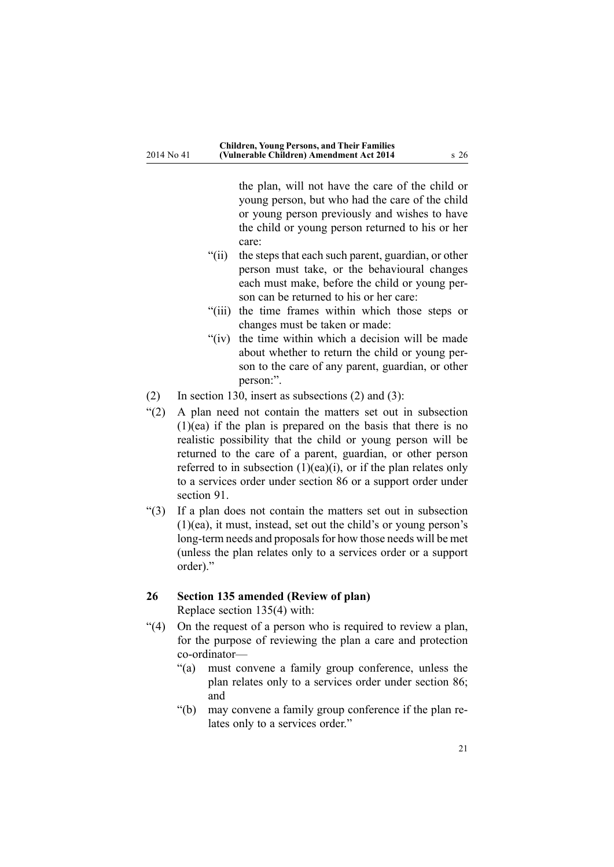<span id="page-20-0"></span>the plan, will not have the care of the child or young person, but who had the care of the child or young person previously and wishes to have the child or young person returned to his or her care:

- "(ii) the steps that each such parent, guardian, or other person must take, or the behavioural changes each must make, before the child or young person can be returned to his or her care:
- "(iii) the time frames within which those steps or changes must be taken or made:
- "(iv) the time within which <sup>a</sup> decision will be made about whether to return the child or young person to the care of any parent, guardian, or other person:".
- (2) In [section](http://prd-lgnz-nlb.prd.pco.net.nz/pdflink.aspx?id=DLM151007) 130, insert as subsections (2) and (3):
- "(2) A plan need not contain the matters set out in subsection  $(1)(ea)$  if the plan is prepared on the basis that there is no realistic possibility that the child or young person will be returned to the care of <sup>a</sup> parent, guardian, or other person referred to in subsection  $(1)(ea)(i)$ , or if the plan relates only to <sup>a</sup> services order under section 86 or <sup>a</sup> suppor<sup>t</sup> order under section 91.
- "(3) If <sup>a</sup> plan does not contain the matters set out in subsection (1)(ea), it must, instead, set out the child's or young person's long-term needs and proposals for how those needs will be met (unless the plan relates only to <sup>a</sup> services order or <sup>a</sup> suppor<sup>t</sup> order)."

#### **26 Section 135 amended (Review of plan)** Replace section [135\(4\)](http://prd-lgnz-nlb.prd.pco.net.nz/pdflink.aspx?id=DLM151015) with:

- "(4) On the reques<sup>t</sup> of <sup>a</sup> person who is required to review <sup>a</sup> plan, for the purpose of reviewing the plan <sup>a</sup> care and protection co-ordinator—
	- "(a) must convene <sup>a</sup> family group conference, unless the plan relates only to <sup>a</sup> services order under section 86; and
	- "(b) may convene <sup>a</sup> family group conference if the plan relates only to <sup>a</sup> services order."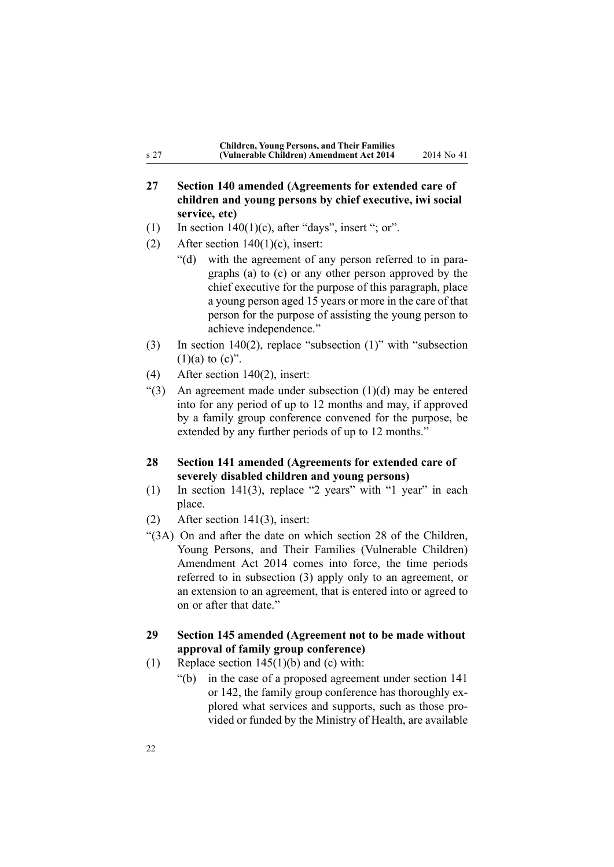| <b>Children, Young Persons, and Their Families</b> |            |
|----------------------------------------------------|------------|
| (Vulnerable Children) Amendment Act 2014           | 2014 No 41 |

# **27 Section 140 amended (Agreements for extended care of children and young persons by chief executive, iwi social service, etc)**

- (1) In section  $140(1)(c)$ , after "days", insert "; or".
- (2) After section  $140(1)(c)$ , insert:

<span id="page-21-0"></span><sup>s</sup> 27

- "(d) with the agreemen<sup>t</sup> of any person referred to in paragraphs (a) to (c) or any other person approved by the chief executive for the purpose of this paragraph, place <sup>a</sup> young person aged 15 years or more in the care of that person for the purpose of assisting the young person to achieve independence."
- (3) In section [140\(2\)](http://prd-lgnz-nlb.prd.pco.net.nz/pdflink.aspx?id=DLM151026), replace "subsection (1)" with "subsection  $(1)(a)$  to  $(c)$ ".
- (4) After section [140\(2\)](http://prd-lgnz-nlb.prd.pco.net.nz/pdflink.aspx?id=DLM151026), insert:
- "(3) An agreement made under subsection  $(1)(d)$  may be entered into for any period of up to 12 months and may, if approved by <sup>a</sup> family group conference convened for the purpose, be extended by any further periods of up to 12 months."

#### **28 Section 141 amended (Agreements for extended care of severely disabled children and young persons)**

- (1) In section [141\(3\)](http://prd-lgnz-nlb.prd.pco.net.nz/pdflink.aspx?id=DLM151029), replace "2 years" with "1 year" in each place.
- (2) After section [141\(3\)](http://prd-lgnz-nlb.prd.pco.net.nz/pdflink.aspx?id=DLM151029), insert:
- "(3A) On and after the date on which section 28 of the Children, Young Persons, and Their Families (Vulnerable Children) Amendment Act 2014 comes into force, the time periods referred to in subsection (3) apply only to an agreement, or an extension to an agreement, that is entered into or agreed to on or after that date."

### **29 Section 145 amended (Agreement not to be made without approval of family group conference)**

- (1) Replace section  $145(1)(b)$  and (c) with:
	- "(b) in the case of <sup>a</sup> proposed agreemen<sup>t</sup> under section 141 or 142, the family group conference has thoroughly explored what services and supports, such as those provided or funded by the Ministry of Health, are available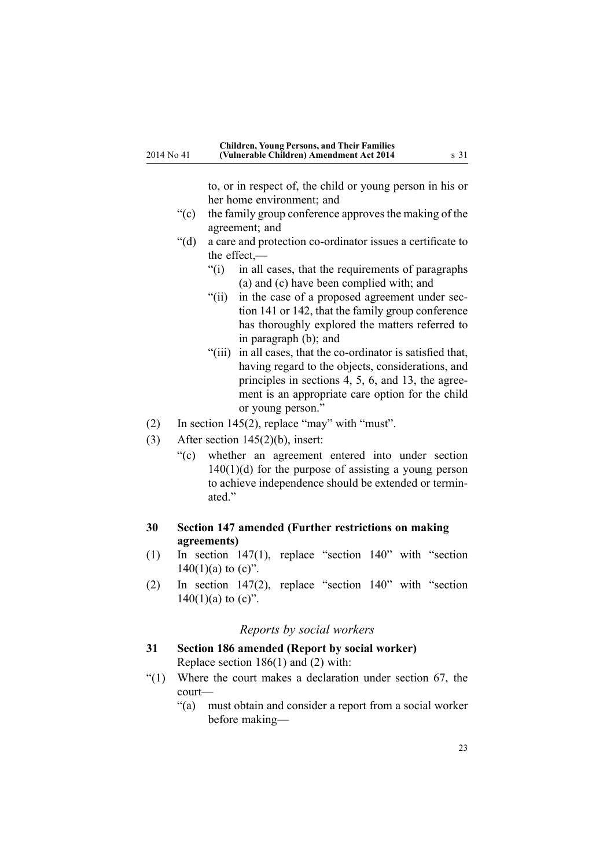to, or in respec<sup>t</sup> of, the child or young person in his or her home environment; and

- <span id="page-22-0"></span>"(c) the family group conference approves the making of the agreement; and
- "(d) <sup>a</sup> care and protection co-ordinator issues <sup>a</sup> certificate to the effect,—
	- "(i) in all cases, that the requirements of paragraphs (a) and (c) have been complied with; and
	- "(ii) in the case of <sup>a</sup> proposed agreemen<sup>t</sup> under section 141 or 142, that the family group conference has thoroughly explored the matters referred to in paragraph (b); and
	- "(iii) in all cases, that the co-ordinator is satisfied that, having regard to the objects, considerations, and principles in sections 4, 5, 6, and 13, the agreement is an appropriate care option for the child or young person."
- (2) In section [145\(2\)](http://prd-lgnz-nlb.prd.pco.net.nz/pdflink.aspx?id=DLM151043), replace "may" with "must".
- (3) After section [145\(2\)\(b\)](http://prd-lgnz-nlb.prd.pco.net.nz/pdflink.aspx?id=DLM151043), insert:
	- "(c) whether an agreemen<sup>t</sup> entered into under section  $140(1)(d)$  for the purpose of assisting a young person to achieve independence should be extended or terminated."

# **30 Section 147 amended (Further restrictions on making agreements)**

- (1) In section [147\(1\)](http://prd-lgnz-nlb.prd.pco.net.nz/pdflink.aspx?id=DLM151045), replace "section 140" with "section  $140(1)(a)$  to  $(c)$ ".
- (2) In section [147\(2\)](http://prd-lgnz-nlb.prd.pco.net.nz/pdflink.aspx?id=DLM151045), replace "section 140" with "section  $140(1)(a)$  to  $(c)$ ".

### *Reports by social workers*

- **31 Section 186 amended (Report by social worker)** Replace section [186\(1\)](http://prd-lgnz-nlb.prd.pco.net.nz/pdflink.aspx?id=DLM151629) and (2) with:
- "(1) Where the court makes <sup>a</sup> declaration under section 67, the court—
	- "(a) must obtain and consider <sup>a</sup> repor<sup>t</sup> from <sup>a</sup> social worker before making—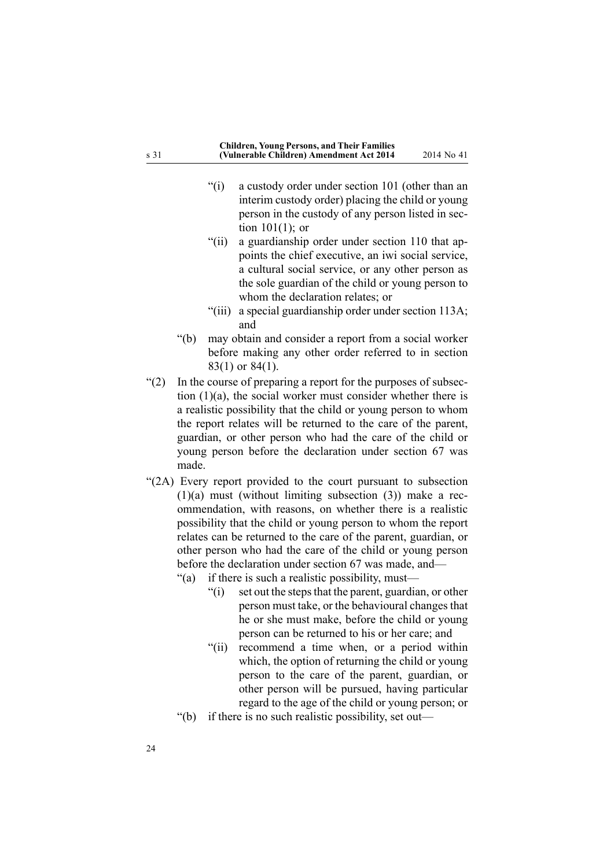- "(i) <sup>a</sup> custody order under section 101 (other than an interim custody order) placing the child or young person in the custody of any person listed in section 101(1); or
- "(ii) <sup>a</sup> guardianship order under section 110 that appoints the chief executive, an iwi social service, <sup>a</sup> cultural social service, or any other person as the sole guardian of the child or young person to whom the declaration relates; or
- "(iii) <sup>a</sup> special guardianship order under section 113A; and
- "(b) may obtain and consider <sup>a</sup> repor<sup>t</sup> from <sup>a</sup> social worker before making any other order referred to in section 83(1) or 84(1).
- "(2) In the course of preparing <sup>a</sup> repor<sup>t</sup> for the purposes of subsection  $(1)(a)$ , the social worker must consider whether there is <sup>a</sup> realistic possibility that the child or young person to whom the repor<sup>t</sup> relates will be returned to the care of the parent, guardian, or other person who had the care of the child or young person before the declaration under section 67 was made.
- "(2A) Every repor<sup>t</sup> provided to the court pursuan<sup>t</sup> to subsection  $(1)(a)$  must (without limiting subsection  $(3)$ ) make a recommendation, with reasons, on whether there is <sup>a</sup> realistic possibility that the child or young person to whom the repor<sup>t</sup> relates can be returned to the care of the parent, guardian, or other person who had the care of the child or young person before the declaration under section 67 was made, and-
	- "(a) if there is such <sup>a</sup> realistic possibility, must—
		- $''(i)$  set out the steps that the parent, guardian, or other person must take, or the behavioural changes that he or she must make, before the child or young person can be returned to his or her care; and
		- "(ii) recommend <sup>a</sup> time when, or <sup>a</sup> period within which, the option of returning the child or young person to the care of the parent, guardian, or other person will be pursued, having particular regard to the age of the child or young person; or
	- "(b) if there is no such realistic possibility, set out—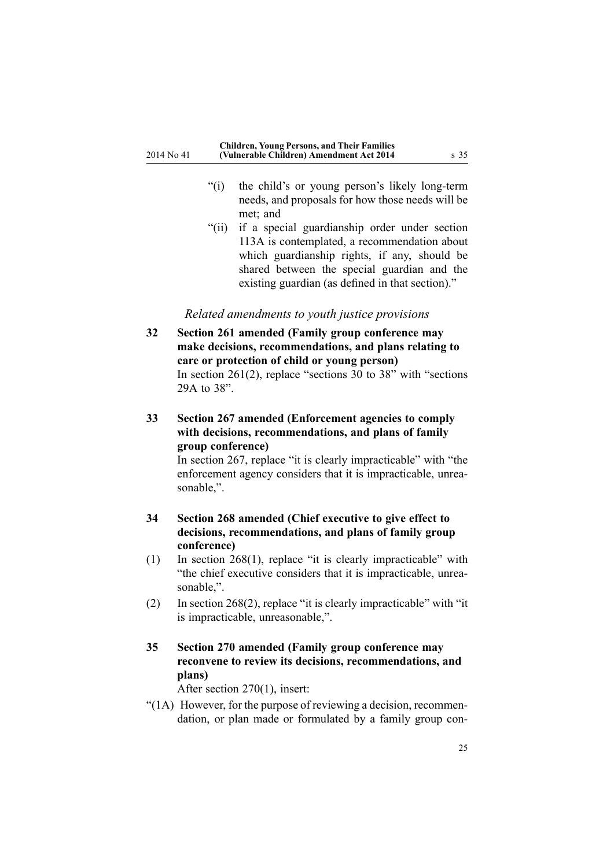- <span id="page-24-0"></span>"(i) the child's or young person's likely long-term needs, and proposals for how those needs will be met; and
- "(ii) if <sup>a</sup> special guardianship order under section 113A is contemplated, <sup>a</sup> recommendation about which guardianship rights, if any, should be shared between the special guardian and the existing guardian (as defined in that section)."

#### *Related amendments to youth justice provisions*

- **32 Section 261 amended (Family group conference may make decisions, recommendations, and plans relating to care or protection of child or young person)** In section [261\(2\)](http://prd-lgnz-nlb.prd.pco.net.nz/pdflink.aspx?id=DLM153402), replace "sections 30 to 38" with "sections 29A to 38".
- **33 Section 267 amended (Enforcement agencies to comply with decisions, recommendations, and plans of family group conference)**

In [section](http://prd-lgnz-nlb.prd.pco.net.nz/pdflink.aspx?id=DLM153410) 267, replace "it is clearly impracticable" with "the enforcement agency considers that it is impracticable, unreasonable,".

# **34 Section 268 amended (Chief executive to give effect to decisions, recommendations, and plans of family group conference)**

- (1) In section [268\(1\)](http://prd-lgnz-nlb.prd.pco.net.nz/pdflink.aspx?id=DLM153411), replace "it is clearly impracticable" with "the chief executive considers that it is impracticable, unreasonable,".
- (2) In section [268\(2\)](http://prd-lgnz-nlb.prd.pco.net.nz/pdflink.aspx?id=DLM153411), replace "it is clearly impracticable" with "it is impracticable, unreasonable,".

# **35 Section 270 amended (Family group conference may reconvene to review its decisions, recommendations, and plans)**

After section [270\(1\)](http://prd-lgnz-nlb.prd.pco.net.nz/pdflink.aspx?id=DLM153415), insert:

"(1A) However, for the purpose of reviewing <sup>a</sup> decision, recommendation, or plan made or formulated by <sup>a</sup> family group con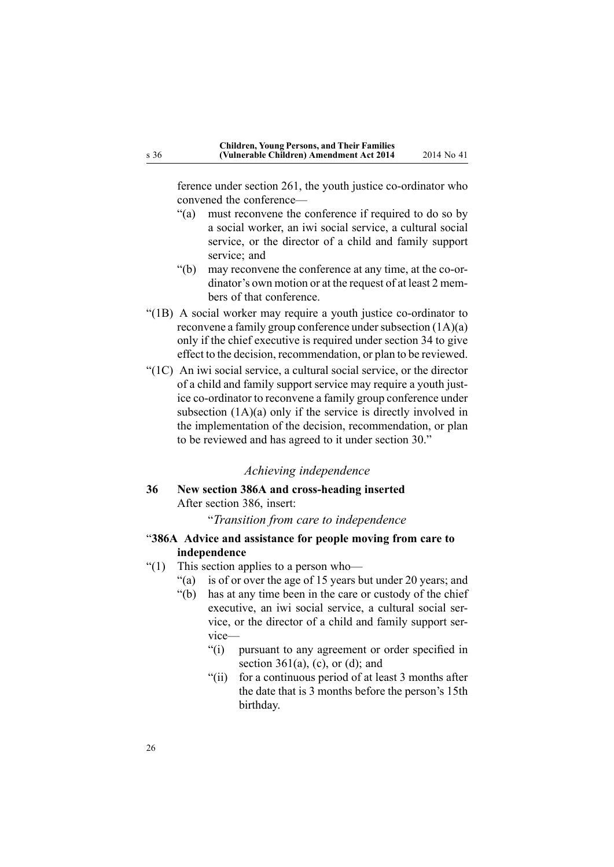<span id="page-25-0"></span>ference under section 261, the youth justice co-ordinator who convened the conference—

- "(a) must reconvene the conference if required to do so by <sup>a</sup> social worker, an iwi social service, <sup>a</sup> cultural social service, or the director of <sup>a</sup> child and family suppor<sup>t</sup> service; and
- "(b) may reconvene the conference at any time, at the co-ordinator's own motion or at the reques<sup>t</sup> of at least 2 members of that conference.
- "(1B) A social worker may require <sup>a</sup> youth justice co-ordinator to reconvene a family group conference under subsection  $(1A)(a)$ only if the chief executive is required under section 34 to give effect to the decision, recommendation, or plan to be reviewed.
- "(1C) An iwi social service, <sup>a</sup> cultural social service, or the director of <sup>a</sup> child and family suppor<sup>t</sup> service may require <sup>a</sup> youth justice co-ordinator to reconvene <sup>a</sup> family group conference under subsection (1A)(a) only if the service is directly involved in the implementation of the decision, recommendation, or plan to be reviewed and has agreed to it under section 30."

#### *Achieving independence*

**36 New section 386A and cross-heading inserted** After [section](http://prd-lgnz-nlb.prd.pco.net.nz/pdflink.aspx?id=DLM154515) 386, insert:

"*Transition from care to independence*

- "**386A Advice and assistance for people moving from care to independence**
- "(1) This section applies to a person who-
	- "(a) is of or over the age of 15 years but under 20 years; and
	- "(b) has at any time been in the care or custody of the chief executive, an iwi social service, <sup>a</sup> cultural social service, or the director of <sup>a</sup> child and family suppor<sup>t</sup> service—
		- "(i) pursuan<sup>t</sup> to any agreemen<sup>t</sup> or order specified in section  $361(a)$ , (c), or (d); and
		- "(ii) for <sup>a</sup> continuous period of at least 3 months after the date that is 3 months before the person's 15th birthday.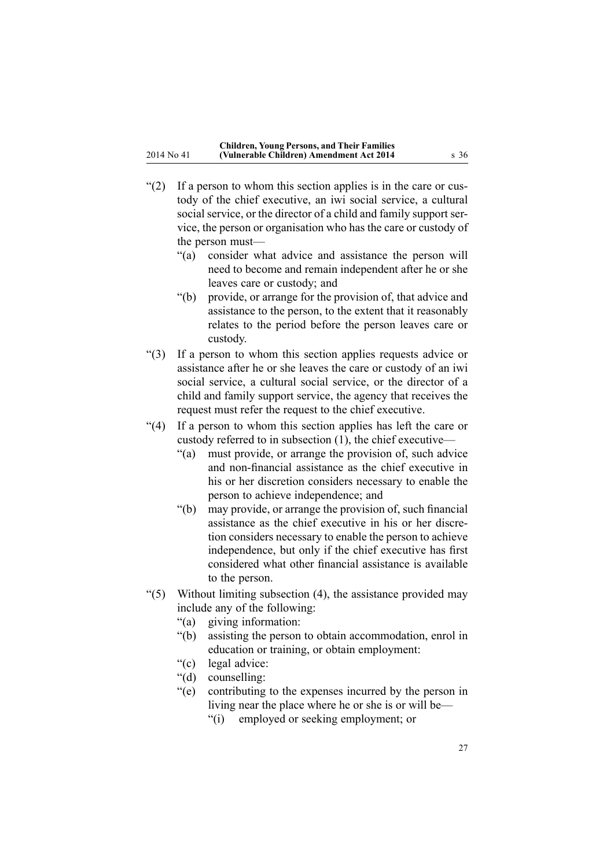- "(2) If <sup>a</sup> person to whom this section applies is in the care or custody of the chief executive, an iwi social service, <sup>a</sup> cultural social service, or the director of <sup>a</sup> child and family suppor<sup>t</sup> service, the person or organisation who has the care or custody of the person must—
	- "(a) consider what advice and assistance the person will need to become and remain independent after he or she leaves care or custody; and
	- "(b) provide, or arrange for the provision of, that advice and assistance to the person, to the extent that it reasonably relates to the period before the person leaves care or custody.
- "(3) If <sup>a</sup> person to whom this section applies requests advice or assistance after he or she leaves the care or custody of an iwi social service, <sup>a</sup> cultural social service, or the director of <sup>a</sup> child and family suppor<sup>t</sup> service, the agency that receives the reques<sup>t</sup> must refer the reques<sup>t</sup> to the chief executive.
- "(4) If <sup>a</sup> person to whom this section applies has left the care or custody referred to in subsection (1), the chief executive—
	- "(a) must provide, or arrange the provision of, such advice and non-financial assistance as the chief executive in his or her discretion considers necessary to enable the person to achieve independence; and
	- "(b) may provide, or arrange the provision of, such financial assistance as the chief executive in his or her discretion considers necessary to enable the person to achieve independence, but only if the chief executive has first considered what other financial assistance is available to the person.
- " $(5)$  Without limiting subsection  $(4)$ , the assistance provided may include any of the following:
	- "(a) giving information:
	- "(b) assisting the person to obtain accommodation, enrol in education or training, or obtain employment:
	- "(c) legal advice:
	- "(d) counselling:
	- "(e) contributing to the expenses incurred by the person in living near the place where he or she is or will be—
		- "(i) employed or seeking employment; or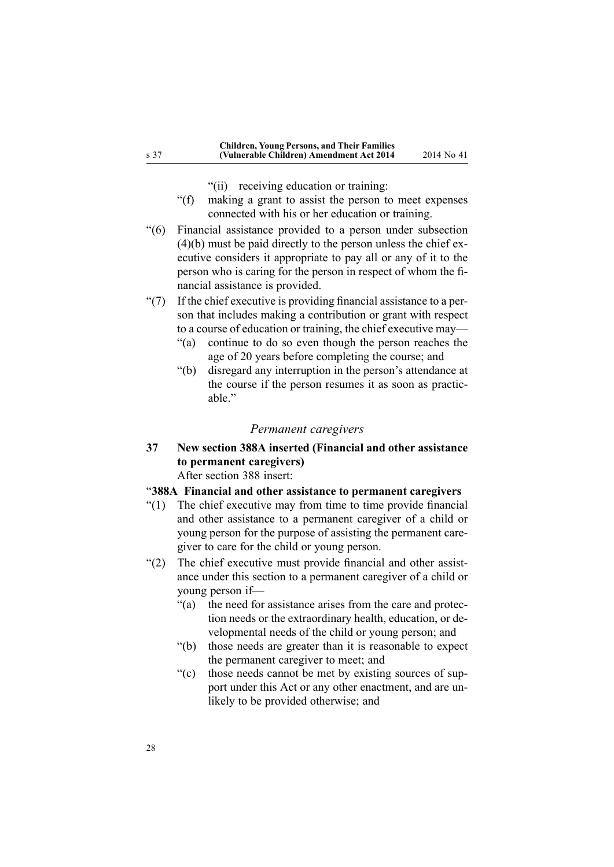- "(ii) receiving education or training:
- <span id="page-27-0"></span>"(f) making <sup>a</sup> gran<sup>t</sup> to assist the person to meet expenses connected with his or her education or training.
- "(6) Financial assistance provided to <sup>a</sup> person under subsection (4)(b) must be paid directly to the person unless the chief executive considers it appropriate to pay all or any of it to the person who is caring for the person in respec<sup>t</sup> of whom the financial assistance is provided.
- "(7) If the chief executive is providing financial assistance to <sup>a</sup> person that includes making <sup>a</sup> contribution or gran<sup>t</sup> with respec<sup>t</sup> to <sup>a</sup> course of education or training, the chief executive may—
	- "(a) continue to do so even though the person reaches the age of 20 years before completing the course; and
	- "(b) disregard any interruption in the person's attendance at the course if the person resumes it as soon as practicable."

#### *Permanent caregivers*

**37 New section 388A inserted (Financial and other assistance to permanent caregivers)**

After [section](http://prd-lgnz-nlb.prd.pco.net.nz/pdflink.aspx?id=DLM154521) 388 insert:

#### "**388A Financial and other assistance to permanent caregivers**

- "(1) The chief executive may from time to time provide financial and other assistance to <sup>a</sup> permanen<sup>t</sup> caregiver of <sup>a</sup> child or young person for the purpose of assisting the permanen<sup>t</sup> caregiver to care for the child or young person.
- "(2) The chief executive must provide financial and other assistance under this section to <sup>a</sup> permanen<sup>t</sup> caregiver of <sup>a</sup> child or young person if—
	- "(a) the need for assistance arises from the care and protection needs or the extraordinary health, education, or developmental needs of the child or young person; and
	- "(b) those needs are greater than it is reasonable to expec<sup>t</sup> the permanen<sup>t</sup> caregiver to meet; and
	- "(c) those needs cannot be met by existing sources of suppor<sup>t</sup> under this Act or any other enactment, and are unlikely to be provided otherwise; and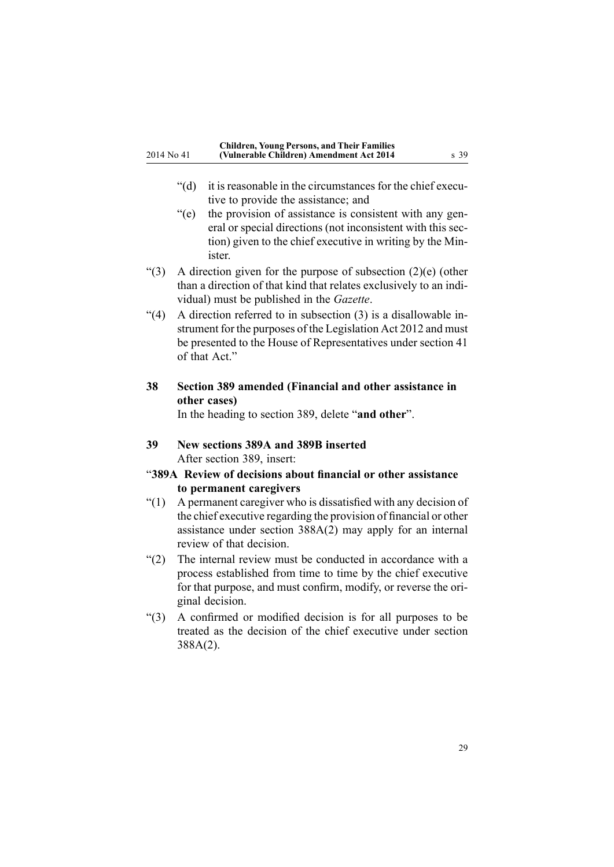- <span id="page-28-0"></span>"(d) it is reasonable in the circumstances for the chief executive to provide the assistance; and
- "(e) the provision of assistance is consistent with any general or special directions (not inconsistent with this section) given to the chief executive in writing by the Minister.
- "(3) A direction given for the purpose of subsection (2)(e) (other than <sup>a</sup> direction of that kind that relates exclusively to an individual) must be published in the *Gazette*.
- "(4) A direction referred to in subsection (3) is <sup>a</sup> disallowable instrument for the purposes of the Legislation Act 2012 and must be presented to the House of Representatives under section 41 of that Act."
- **38 Section 389 amended (Financial and other assistance in other cases)**

In the heading to [section](http://prd-lgnz-nlb.prd.pco.net.nz/pdflink.aspx?id=DLM154524) 389, delete "**and other**".

- **39 New sections 389A and 389B inserted** After [section](http://prd-lgnz-nlb.prd.pco.net.nz/pdflink.aspx?id=DLM154524) 389, insert:
- "**389A Review of decisions about financial or other assistance to permanent caregivers**
- "(1) A permanen<sup>t</sup> caregiver who is dissatisfied with any decision of the chief executive regarding the provision of financial or other assistance under section 388A(2) may apply for an internal review of that decision.
- "(2) The internal review must be conducted in accordance with <sup>a</sup> process established from time to time by the chief executive for that purpose, and must confirm, modify, or reverse the original decision.
- "(3) A confirmed or modified decision is for all purposes to be treated as the decision of the chief executive under section 388A(2).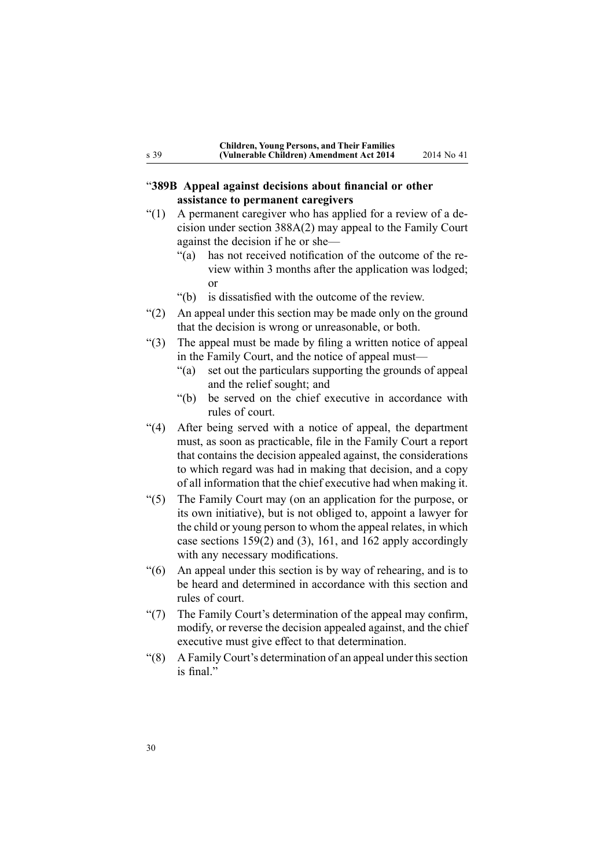# <span id="page-29-0"></span>"**389B Appeal against decisions about financial or other assistance to permanent caregivers**

- $\degree$ (1) A permanent caregiver who has applied for a review of a decision under section 388A(2) may appeal to the Family Court against the decision if he or she—
	- "(a) has not received notification of the outcome of the review within 3 months after the application was lodged; or
	- "(b) is dissatisfied with the outcome of the review.
- "(2) An appeal under this section may be made only on the ground that the decision is wrong or unreasonable, or both.
- "(3) The appeal must be made by filing <sup>a</sup> written notice of appeal in the Family Court, and the notice of appeal must—
	- "(a) set out the particulars supporting the grounds of appeal and the relief sought; and
	- "(b) be served on the chief executive in accordance with rules of court.
- "(4) After being served with <sup>a</sup> notice of appeal, the department must, as soon as practicable, file in the Family Court <sup>a</sup> repor<sup>t</sup> that contains the decision appealed against, the considerations to which regard was had in making that decision, and <sup>a</sup> copy of all information that the chief executive had when making it.
- "(5) The Family Court may (on an application for the purpose, or its own initiative), but is not obliged to, appoint <sup>a</sup> lawyer for the child or young person to whom the appeal relates, in which case sections 159(2) and (3), 161, and 162 apply accordingly with any necessary modifications.
- "(6) An appeal under this section is by way of rehearing, and is to be heard and determined in accordance with this section and rules of court.
- "(7) The Family Court's determination of the appeal may confirm, modify, or reverse the decision appealed against, and the chief executive must give effect to that determination.
- $\degree$ (8) A Family Court's determination of an appeal under this section is final."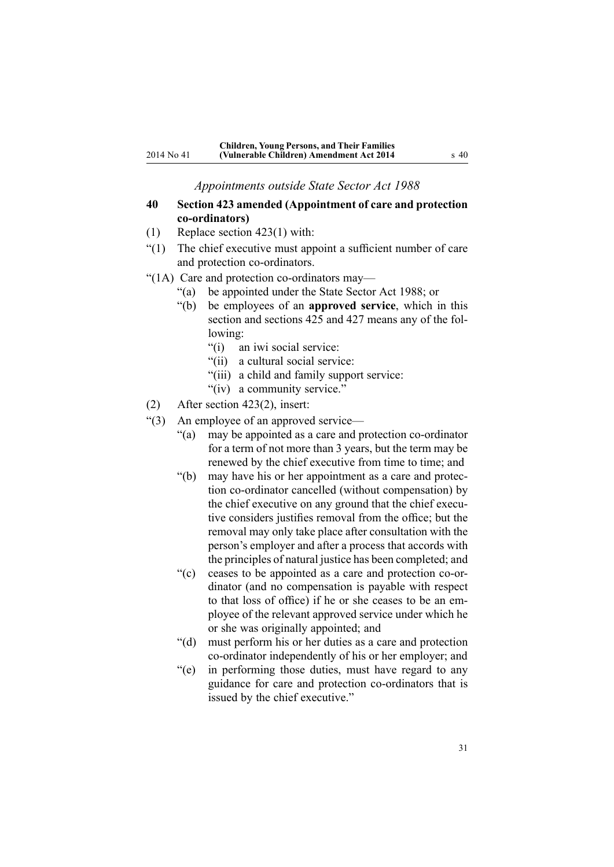*Appointments outside State Sector Act 1988*

### <span id="page-30-0"></span>**40 Section 423 amended (Appointment of care and protection co-ordinators)**

- (1) Replace section [423\(1\)](http://prd-lgnz-nlb.prd.pco.net.nz/pdflink.aspx?id=DLM155027) with:
- "(1) The chief executive must appoint <sup>a</sup> sufficient number of care and protection co-ordinators.
- "(1A) Care and protection co-ordinators may—
	- "(a) be appointed under the State Sector Act 1988; or
	- "(b) be employees of an **approved service**, which in this section and sections 425 and 427 means any of the following:
		- "(i) an iwi social service:
		- "(ii) <sup>a</sup> cultural social service:
		- "(iii) <sup>a</sup> child and family suppor<sup>t</sup> service:
		- "(iv) <sup>a</sup> community service."
- (2) After section [423\(2\)](http://prd-lgnz-nlb.prd.pco.net.nz/pdflink.aspx?id=DLM155027), insert:
- "(3) An employee of an approved service—
	- "(a) may be appointed as <sup>a</sup> care and protection co-ordinator for <sup>a</sup> term of not more than 3 years, but the term may be renewed by the chief executive from time to time; and
	- "(b) may have his or her appointment as <sup>a</sup> care and protection co-ordinator cancelled (without compensation) by the chief executive on any ground that the chief executive considers justifies removal from the office; but the removal may only take place after consultation with the person's employer and after <sup>a</sup> process that accords with the principles of natural justice has been completed; and
	- "(c) ceases to be appointed as <sup>a</sup> care and protection co-ordinator (and no compensation is payable with respec<sup>t</sup> to that loss of office) if he or she ceases to be an employee of the relevant approved service under which he or she was originally appointed; and
	- "(d) must perform his or her duties as <sup>a</sup> care and protection co-ordinator independently of his or her employer; and
	- "(e) in performing those duties, must have regard to any guidance for care and protection co-ordinators that is issued by the chief executive."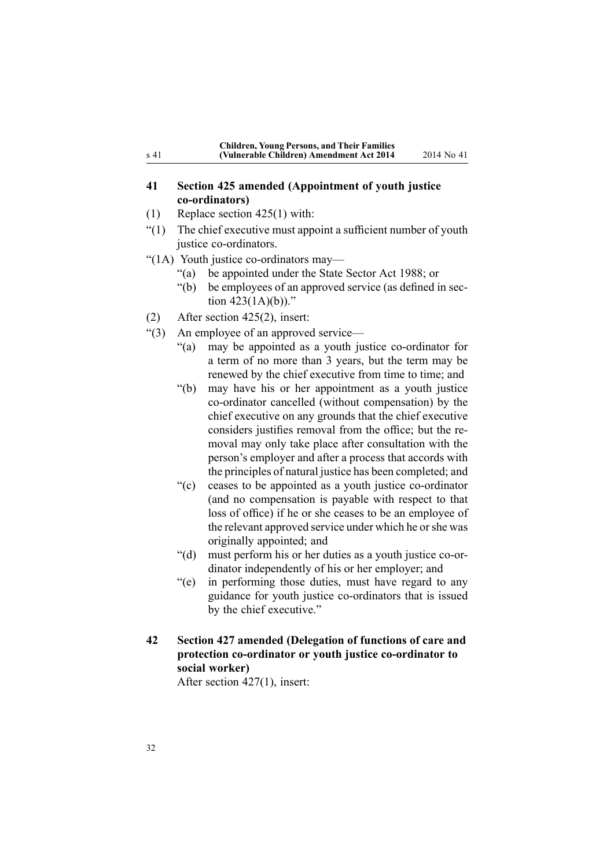| <b>Children, Young Persons, and Their Families</b> |  |
|----------------------------------------------------|--|
| (Vulnerable Children) Amendment Act 2014           |  |

#### <span id="page-31-0"></span>**41 Section 425 amended (Appointment of youth justice co-ordinators)**

- (1) Replace section [425\(1\)](http://prd-lgnz-nlb.prd.pco.net.nz/pdflink.aspx?id=DLM155030) with:
- "(1) The chief executive must appoint <sup>a</sup> sufficient number of youth justice co-ordinators.
- "(1A) Youth justice co-ordinators may—
	- "(a) be appointed under the State Sector Act 1988; or
	- "(b) be employees of an approved service (as defined in section  $423(1A)(b)$ ."
- (2) After section [425\(2\)](http://prd-lgnz-nlb.prd.pco.net.nz/pdflink.aspx?id=DLM155030), insert:
- "(3) An employee of an approved service—
	- "(a) may be appointed as <sup>a</sup> youth justice co-ordinator for <sup>a</sup> term of no more than 3 years, but the term may be renewed by the chief executive from time to time; and
	- "(b) may have his or her appointment as <sup>a</sup> youth justice co-ordinator cancelled (without compensation) by the chief executive on any grounds that the chief executive considers justifies removal from the office; but the removal may only take place after consultation with the person's employer and after <sup>a</sup> process that accords with the principles of natural justice has been completed; and
	- "(c) ceases to be appointed as <sup>a</sup> youth justice co-ordinator (and no compensation is payable with respec<sup>t</sup> to that loss of office) if he or she ceases to be an employee of the relevant approved service under which he orshe was originally appointed; and
	- "(d) must perform his or her duties as <sup>a</sup> youth justice co-ordinator independently of his or her employer; and
	- "(e) in performing those duties, must have regard to any guidance for youth justice co-ordinators that is issued by the chief executive."
- **42 Section 427 amended (Delegation of functions of care and protection co-ordinator or youth justice co-ordinator to social worker)**

After section [427\(1\)](http://prd-lgnz-nlb.prd.pco.net.nz/pdflink.aspx?id=DLM155033), insert: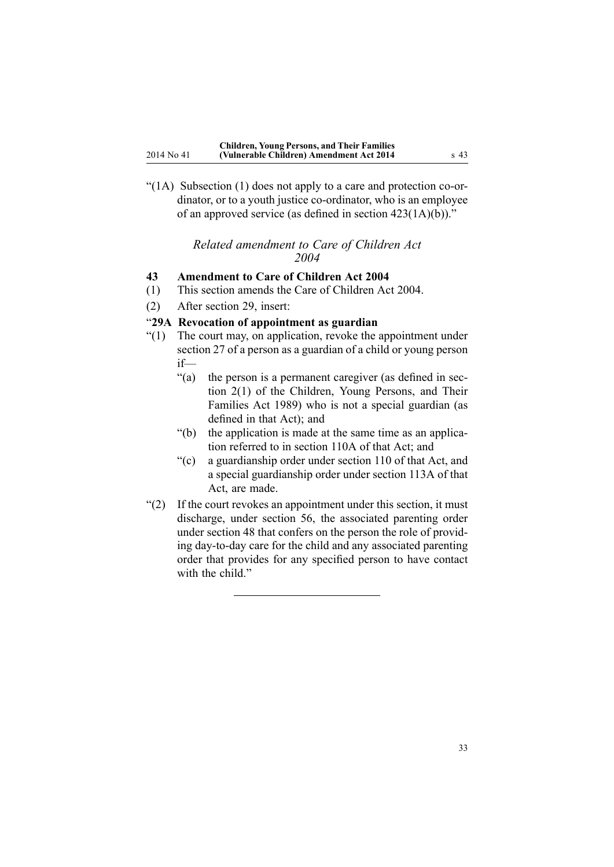<span id="page-32-0"></span>"(1A) Subsection (1) does not apply to <sup>a</sup> care and protection co-ordinator, or to <sup>a</sup> youth justice co-ordinator, who is an employee of an approved service (as defined in section 423(1A)(b))."

#### *Related amendment to Care of Children Act 2004*

# **43 Amendment to Care of Children Act 2004**

- (1) This section amends the Care of [Children](http://prd-lgnz-nlb.prd.pco.net.nz/pdflink.aspx?id=DLM317232) Act 2004.
- (2) After [section](http://prd-lgnz-nlb.prd.pco.net.nz/pdflink.aspx?id=DLM317448) 29, insert:

### "**29A Revocation of appointment as guardian**

- "(1) The court may, on application, revoke the appointment under section 27 of <sup>a</sup> person as <sup>a</sup> guardian of <sup>a</sup> child or young person if—
	- "(a) the person is <sup>a</sup> permanen<sup>t</sup> caregiver (as defined in section 2(1) of the Children, Young Persons, and Their Families Act 1989) who is not <sup>a</sup> special guardian (as defined in that Act); and
	- "(b) the application is made at the same time as an application referred to in section 110A of that Act; and
	- "(c) <sup>a</sup> guardianship order under section 110 of that Act, and <sup>a</sup> special guardianship order under section 113A of that Act, are made.
- "(2) If the court revokes an appointment under this section, it must discharge, under section 56, the associated parenting order under section 48 that confers on the person the role of providing day-to-day care for the child and any associated parenting order that provides for any specified person to have contact with the child."